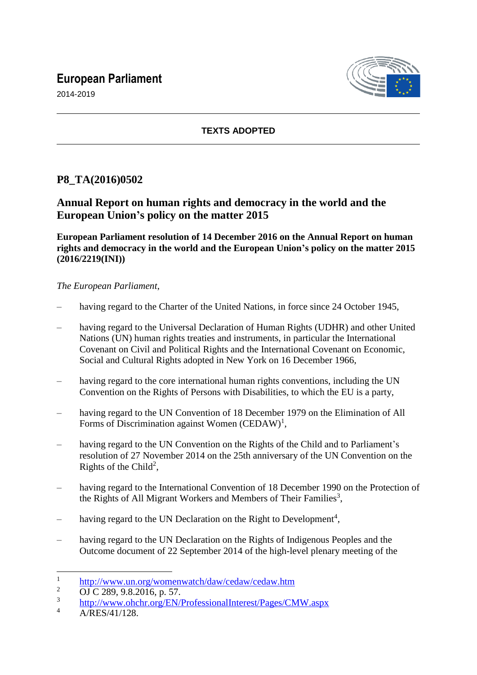# **European Parliament**





## **TEXTS ADOPTED**

# **P8\_TA(2016)0502**

# **Annual Report on human rights and democracy in the world and the European Union's policy on the matter 2015**

**European Parliament resolution of 14 December 2016 on the Annual Report on human rights and democracy in the world and the European Union's policy on the matter 2015 (2016/2219(INI))**

## *The European Parliament*,

- having regard to the Charter of the United Nations, in force since 24 October 1945,
- having regard to the Universal Declaration of Human Rights (UDHR) and other United Nations (UN) human rights treaties and instruments, in particular the International Covenant on Civil and Political Rights and the International Covenant on Economic, Social and Cultural Rights adopted in New York on 16 December 1966,
- having regard to the core international human rights conventions, including the UN Convention on the Rights of Persons with Disabilities, to which the EU is a party,
- having regard to the UN Convention of 18 December 1979 on the Elimination of All Forms of Discrimination against Women  $(CEDAW)^1$ ,
- having regard to the UN Convention on the Rights of the Child and to Parliament's resolution of 27 November 2014 on the 25th anniversary of the UN Convention on the Rights of the Child<sup>2</sup>,
- having regard to the International Convention of 18 December 1990 on the Protection of the Rights of All Migrant Workers and Members of Their Families<sup>3</sup>,
- having regard to the UN Declaration on the Right to Development<sup>4</sup>,
- having regard to the UN Declaration on the Rights of Indigenous Peoples and the Outcome document of 22 September 2014 of the high-level plenary meeting of the

 $\overline{a}$ 

<sup>1</sup> <http://www.un.org/womenwatch/daw/cedaw/cedaw.htm>

<sup>&</sup>lt;sup>2</sup> OJ C 289, 9.8.2016, p. 57.

<sup>3</sup> <http://www.ohchr.org/EN/ProfessionalInterest/Pages/CMW.aspx>

 $4 \frac{\text{A/RES}/41/128}{\text{A/RES}/41/128}$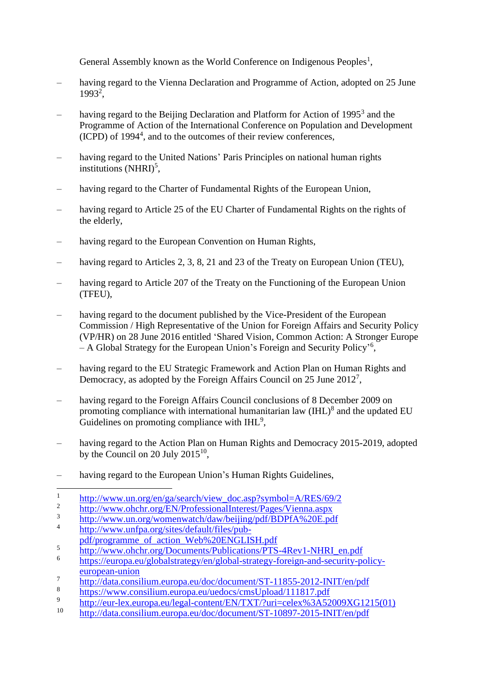General Assembly known as the World Conference on Indigenous Peoples<sup>1</sup>,

- having regard to the Vienna Declaration and Programme of Action, adopted on 25 June 1993<sup>2</sup>,
- having regard to the Beijing Declaration and Platform for Action of 1995<sup>3</sup> and the Programme of Action of the International Conference on Population and Development (ICPD) of 1994<sup>4</sup> , and to the outcomes of their review conferences,
- having regard to the United Nations' Paris Principles on national human rights institutions  $(NHRI)^5$ ,
- having regard to the Charter of Fundamental Rights of the European Union,
- having regard to Article 25 of the EU Charter of Fundamental Rights on the rights of the elderly,
- having regard to the European Convention on Human Rights,
- having regard to Articles 2, 3, 8, 21 and 23 of the Treaty on European Union (TEU),
- having regard to Article 207 of the Treaty on the Functioning of the European Union (TFEU),
- having regard to the document published by the Vice-President of the European Commission / High Representative of the Union for Foreign Affairs and Security Policy (VP/HR) on 28 June 2016 entitled 'Shared Vision, Common Action: A Stronger Europe - A Global Strategy for the European Union's Foreign and Security Policy<sup>16</sup>,
- having regard to the EU Strategic Framework and Action Plan on Human Rights and Democracy, as adopted by the Foreign Affairs Council on 25 June 2012<sup>7</sup>,
- having regard to the Foreign Affairs Council conclusions of 8 December 2009 on promoting compliance with international humanitarian law  $(HIL)^8$  and the updated EU Guidelines on promoting compliance with  $IHL<sup>9</sup>$ ,
- having regard to the Action Plan on Human Rights and Democracy 2015-2019, adopted by the Council on 20 July  $2015^{10}$ ,
- having regard to the European Union's Human Rights Guidelines,

- 3 <http://www.un.org/womenwatch/daw/beijing/pdf/BDPfA%20E.pdf>
- 4 [http://www.unfpa.org/sites/default/files/pub-](http://www.unfpa.org/sites/default/files/pub-pdf/programme_of_action_Web%20ENGLISH.pdf)
- [pdf/programme\\_of\\_action\\_Web%20ENGLISH.pdf](http://www.unfpa.org/sites/default/files/pub-pdf/programme_of_action_Web%20ENGLISH.pdf)
- 5 [http://www.ohchr.org/Documents/Publications/PTS-4Rev1-NHRI\\_en.pdf](http://www.ohchr.org/Documents/Publications/PTS-4Rev1-NHRI_en.pdf)
- 6 [https://europa.eu/globalstrategy/en/global-strategy-foreign-and-security-policy](https://europa.eu/globalstrategy/en/global-strategy-foreign-and-security-policy-european-union)[european-union](https://europa.eu/globalstrategy/en/global-strategy-foreign-and-security-policy-european-union)
- 7 <http://data.consilium.europa.eu/doc/document/ST-11855-2012-INIT/en/pdf>
- 8 <https://www.consilium.europa.eu/uedocs/cmsUpload/111817.pdf>
- 9 [http://eur-lex.europa.eu/legal-content/EN/TXT/?uri=celex%3A52009XG1215\(01\)](http://eur-lex.europa.eu/legal-content/EN/TXT/?uri=celex%3A52009XG1215(01))
- <sup>10</sup> <http://data.consilium.europa.eu/doc/document/ST-10897-2015-INIT/en/pdf>

 $\overline{a}$ 1 [http://www.un.org/en/ga/search/view\\_doc.asp?symbol=A/RES/69/2](http://www.un.org/en/ga/search/view_doc.asp?symbol=A/RES/69/2)

<sup>2</sup> <http://www.ohchr.org/EN/ProfessionalInterest/Pages/Vienna.aspx>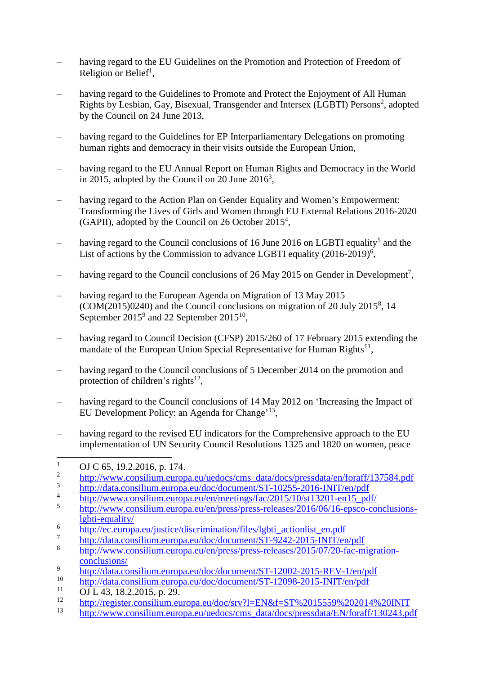- having regard to the EU Guidelines on the Promotion and Protection of Freedom of Religion or Belief<sup>1</sup>,
- having regard to the Guidelines to Promote and Protect the Enjoyment of All Human Rights by Lesbian, Gay, Bisexual, Transgender and Intersex (LGBTI) Persons<sup>2</sup>, adopted by the Council on 24 June 2013,
- having regard to the Guidelines for EP Interparliamentary Delegations on promoting human rights and democracy in their visits outside the European Union,
- having regard to the EU Annual Report on Human Rights and Democracy in the World in 2015, adopted by the Council on 20 June  $2016<sup>3</sup>$ ,
- having regard to the Action Plan on Gender Equality and Women's Empowerment: Transforming the Lives of Girls and Women through EU External Relations 2016-2020 (GAPII), adopted by the Council on 26 October 2015<sup>4</sup>,
- having regard to the Council conclusions of 16 June 2016 on LGBTI equality<sup>5</sup> and the List of actions by the Commission to advance LGBTI equality  $(2016-2019)^6$ ,
- having regard to the Council conclusions of 26 May 2015 on Gender in Development<sup>7</sup>,
- having regard to the European Agenda on Migration of 13 May 2015 (COM(2015)0240) and the Council conclusions on migration of 20 July 2015<sup>8</sup> , 14 September  $2015^9$  and 22 September  $2015^{10}$ ,
- having regard to Council Decision (CFSP) 2015/260 of 17 February 2015 extending the mandate of the European Union Special Representative for Human Rights $^{11}$ ,
- having regard to the Council conclusions of 5 December 2014 on the promotion and protection of children's rights $^{12}$ ,
- having regard to the Council conclusions of 14 May 2012 on 'Increasing the Impact of EU Development Policy: an Agenda for Change'<sup>13</sup>,
- having regard to the revised EU indicators for the Comprehensive approach to the EU implementation of UN Security Council Resolutions 1325 and 1820 on women, peace

 $\overline{1}$ OJ C 65, 19.2.2016, p. 174.

<sup>2</sup> [http://www.consilium.europa.eu/uedocs/cms\\_data/docs/pressdata/en/foraff/137584.pdf](http://www.consilium.europa.eu/uedocs/cms_data/docs/pressdata/en/foraff/137584.pdf)

<sup>3</sup> <http://data.consilium.europa.eu/doc/document/ST-10255-2016-INIT/en/pdf>

<sup>4</sup> [http://www.consilium.europa.eu/en/meetings/fac/2015/10/st13201-en15\\_pdf/](http://www.consilium.europa.eu/en/meetings/fac/2015/10/st13201-en15_pdf/)

<sup>5</sup> [http://www.consilium.europa.eu/en/press/press-releases/2016/06/16-epsco-conclusions](http://www.consilium.europa.eu/en/press/press-releases/2016/06/16-epsco-conclusions-lgbti-equality/)[lgbti-equality/](http://www.consilium.europa.eu/en/press/press-releases/2016/06/16-epsco-conclusions-lgbti-equality/)

<sup>6</sup> [http://ec.europa.eu/justice/discrimination/files/lgbti\\_actionlist\\_en.pdf](http://ec.europa.eu/justice/discrimination/files/lgbti_actionlist_en.pdf)

<sup>7</sup> <http://data.consilium.europa.eu/doc/document/ST-9242-2015-INIT/en/pdf>

<sup>8</sup> [http://www.consilium.europa.eu/en/press/press-releases/2015/07/20-fac-migration](http://www.consilium.europa.eu/en/press/press-releases/2015/07/20-fac-migration-conclusions/)[conclusions/](http://www.consilium.europa.eu/en/press/press-releases/2015/07/20-fac-migration-conclusions/)

<sup>9</sup> <http://data.consilium.europa.eu/doc/document/ST-12002-2015-REV-1/en/pdf>

 $\frac{\text{http://data.consilium.europa.eu/doc/document/ST-12098-2015-NIT/en/pdf}}{\text{OLI. }42,18,2,2015, n, 20}$ 

 $11$  OJ L 43, 18.2.2015, p. 29.

 $\frac{12}{h_{\text{t}}}\frac{h_{\text{t}}(t)}{h_{\text{t}}(t)}$  <http://register.consilium.europa.eu/doc/srv?l=EN&f=ST%2015559%202014%20INIT>

[http://www.consilium.europa.eu/uedocs/cms\\_data/docs/pressdata/EN/foraff/130243.pdf](http://www.consilium.europa.eu/uedocs/cms_data/docs/pressdata/EN/foraff/130243.pdf)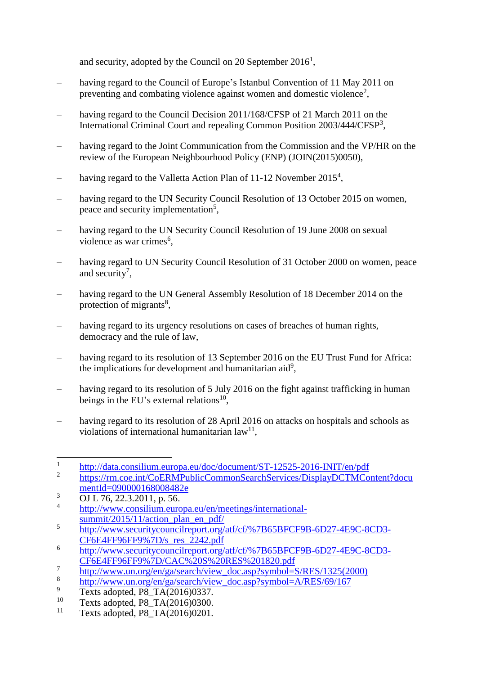and security, adopted by the Council on 20 September  $2016<sup>1</sup>$ ,

- having regard to the Council of Europe's Istanbul Convention of 11 May 2011 on preventing and combating violence against women and domestic violence<sup>2</sup>,
- having regard to the Council Decision 2011/168/CFSP of 21 March 2011 on the International Criminal Court and repealing Common Position 2003/444/CFSP<sup>3</sup>,
- having regard to the Joint Communication from the Commission and the VP/HR on the review of the European Neighbourhood Policy (ENP) (JOIN(2015)0050),
- having regard to the Valletta Action Plan of 11-12 November  $2015^4$ ,
- having regard to the UN Security Council Resolution of 13 October 2015 on women, peace and security implementation<sup>5</sup>,
- having regard to the UN Security Council Resolution of 19 June 2008 on sexual violence as war crimes<sup>6</sup>,
- having regard to UN Security Council Resolution of 31 October 2000 on women, peace and security<sup>7</sup>,
- having regard to the UN General Assembly Resolution of 18 December 2014 on the protection of migrants<sup>8</sup>,
- having regard to its urgency resolutions on cases of breaches of human rights, democracy and the rule of law,
- having regard to its resolution of 13 September 2016 on the EU Trust Fund for Africa: the implications for development and humanitarian aid<sup>9</sup>,
- having regard to its resolution of 5 July 2016 on the fight against trafficking in human beings in the EU's external relations<sup>10</sup>,
- having regard to its resolution of 28 April 2016 on attacks on hospitals and schools as violations of international humanitarian  $law^{11}$ ,

 $\overline{a}$ 1 <http://data.consilium.europa.eu/doc/document/ST-12525-2016-INIT/en/pdf>

<sup>2</sup> [https://rm.coe.int/CoERMPublicCommonSearchServices/DisplayDCTMContent?docu](https://rm.coe.int/CoERMPublicCommonSearchServices/DisplayDCTMContent?documentId=090000168008482e) [mentId=090000168008482e](https://rm.coe.int/CoERMPublicCommonSearchServices/DisplayDCTMContent?documentId=090000168008482e)

 $\overline{3}$  OJ L 76, 22.3.2011, p. 56.

<sup>4</sup> [http://www.consilium.europa.eu/en/meetings/international](http://www.consilium.europa.eu/en/meetings/international-summit/2015/11/action_plan_en_pdf/)summit/2015/11/action plan en pdf/

<sup>5</sup> [http://www.securitycouncilreport.org/atf/cf/%7B65BFCF9B-6D27-4E9C-8CD3-](http://www.securitycouncilreport.org/atf/cf/%7B65BFCF9B-6D27-4E9C-8CD3-CF6E4FF96FF9%7D/s_res_2242.pdf) [CF6E4FF96FF9%7D/s\\_res\\_2242.pdf](http://www.securitycouncilreport.org/atf/cf/%7B65BFCF9B-6D27-4E9C-8CD3-CF6E4FF96FF9%7D/s_res_2242.pdf)

<sup>6</sup> [http://www.securitycouncilreport.org/atf/cf/%7B65BFCF9B-6D27-4E9C-8CD3-](http://www.securitycouncilreport.org/atf/cf/%7B65BFCF9B-6D27-4E9C-8CD3-CF6E4FF96FF9%7D/CAC%20S%20RES%201820.pdf) [CF6E4FF96FF9%7D/CAC%20S%20RES%201820.pdf](http://www.securitycouncilreport.org/atf/cf/%7B65BFCF9B-6D27-4E9C-8CD3-CF6E4FF96FF9%7D/CAC%20S%20RES%201820.pdf)

<sup>7</sup> [http://www.un.org/en/ga/search/view\\_doc.asp?symbol=S/RES/1325\(2000\)](http://www.un.org/en/ga/search/view_doc.asp?symbol=S/RES/1325(2000))

<sup>8</sup> [http://www.un.org/en/ga/search/view\\_doc.asp?symbol=A/RES/69/167](http://www.un.org/en/ga/search/view_doc.asp?symbol=A/RES/69/167)

 $\frac{9}{10}$  Texts adopted, P8\_TA(2016)0337.

<sup>&</sup>lt;sup>10</sup> Texts adopted, P8\_TA(2016)0300.<br><sup>11</sup> Texts adopted, P8\_TA(2016)0201

Texts adopted, P8\_TA(2016)0201.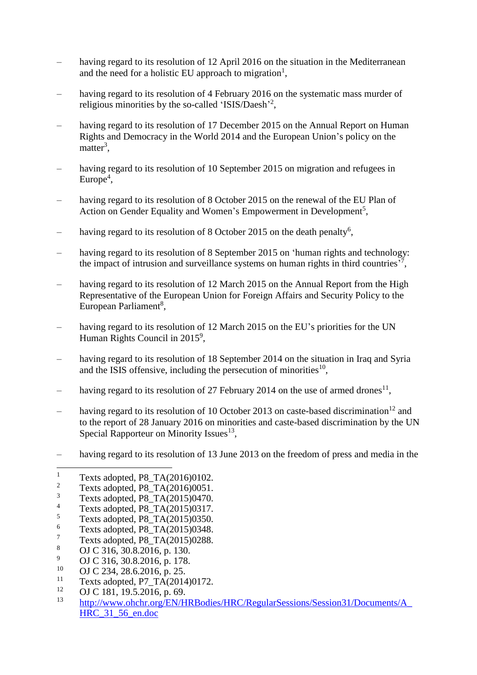- having regard to its resolution of 12 April 2016 on the situation in the Mediterranean and the need for a holistic EU approach to migration<sup>1</sup>,
- having regard to its resolution of 4 February 2016 on the systematic mass murder of religious minorities by the so-called 'ISIS/Daesh'<sup>2</sup>,
- having regard to its resolution of 17 December 2015 on the Annual Report on Human Rights and Democracy in the World 2014 and the European Union's policy on the matter<sup>3</sup>,
- having regard to its resolution of 10 September 2015 on migration and refugees in  $Europe<sup>4</sup>$ ,
- having regard to its resolution of 8 October 2015 on the renewal of the EU Plan of Action on Gender Equality and Women's Empowerment in Development<sup>5</sup>,
- having regard to its resolution of 8 October 2015 on the death penalty<sup>6</sup>,
- having regard to its resolution of 8 September 2015 on 'human rights and technology: the impact of intrusion and surveillance systems on human rights in third countries'<sup>7</sup>,
- having regard to its resolution of 12 March 2015 on the Annual Report from the High Representative of the European Union for Foreign Affairs and Security Policy to the European Parliament<sup>8</sup>,
- having regard to its resolution of 12 March 2015 on the EU's priorities for the UN Human Rights Council in  $2015^9$ ,
- having regard to its resolution of 18 September 2014 on the situation in Iraq and Syria and the ISIS offensive, including the persecution of minorities $^{10}$ ,
- having regard to its resolution of 27 February 2014 on the use of armed drones<sup>11</sup>,
- having regard to its resolution of 10 October 2013 on caste-based discrimination<sup>12</sup> and to the report of 28 January 2016 on minorities and caste-based discrimination by the UN Special Rapporteur on Minority Issues $^{13}$ ,
- having regard to its resolution of 13 June 2013 on the freedom of press and media in the

 $\overline{a}$ 

- $\frac{7}{8}$  Texts adopted, P8\_TA(2015)0288.
- <sup>8</sup> OJ C 316, 30.8.2016, p. 130.
- <sup>9</sup> OJ C 316, 30.8.2016, p. 178.<br><sup>10</sup> OJ C 234, 28.6.2016, p. 25.
- $^{10}$  OJ C 234, 28.6.2016, p. 25.
- <sup>11</sup> Texts adopted, P7\_TA(2014)0172.
- <sup>12</sup> OJ C 181, 19.5.2016, p. 69.<br><sup>13</sup> http://www.obshr.org/EM/H
- <sup>13</sup> [http://www.ohchr.org/EN/HRBodies/HRC/RegularSessions/Session31/Documents/A\\_](http://www.ohchr.org/EN/HRBodies/HRC/RegularSessions/Session31/Documents/A_HRC_31_56_en.doc) [HRC\\_31\\_56\\_en.doc](http://www.ohchr.org/EN/HRBodies/HRC/RegularSessions/Session31/Documents/A_HRC_31_56_en.doc)

<sup>&</sup>lt;sup>1</sup> Texts adopted, P8\_TA(2016)0102.<br><sup>2</sup> Texts adopted, P8\_TA(2016)0051.

<sup>&</sup>lt;sup>2</sup> Texts adopted, P8\_TA(2016)0051.<br><sup>3</sup> Texts adopted, P8\_TA(2015)0470.

 $3 \t\t\t Texts adopted, PB\_TA(2015)0470.$ 

<sup>&</sup>lt;sup>4</sup> Texts adopted, P8\_TA(2015)0317.

 $^{5}$  Texts adopted, P8\_TA(2015)0350.

 $\frac{6}{7}$  Texts adopted, P8\_TA(2015)0348.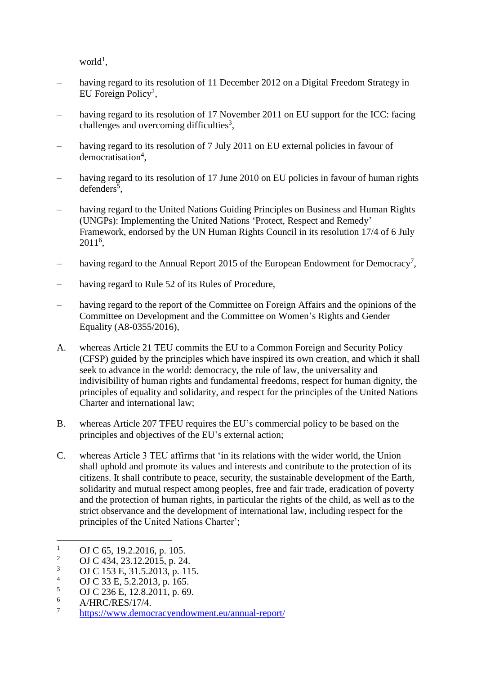$world<sup>1</sup>$ ,

- having regard to its resolution of 11 December 2012 on a Digital Freedom Strategy in EU Foreign Policy<sup>2</sup>,
- having regard to its resolution of 17 November 2011 on EU support for the ICC: facing challenges and overcoming difficulties<sup>3</sup>,
- having regard to its resolution of 7 July 2011 on EU external policies in favour of democratisation<sup>4</sup>,
- having regard to its resolution of 17 June 2010 on EU policies in favour of human rights defenders<sup>5</sup>,
- having regard to the United Nations Guiding Principles on Business and Human Rights (UNGPs): Implementing the United Nations 'Protect, Respect and Remedy' Framework, endorsed by the UN Human Rights Council in its resolution 17/4 of 6 July 2011<sup>6</sup> ,
- having regard to the Annual Report 2015 of the European Endowment for Democracy<sup>7</sup>,
- having regard to Rule 52 of its Rules of Procedure,
- having regard to the report of the Committee on Foreign Affairs and the opinions of the Committee on Development and the Committee on Women's Rights and Gender Equality (A8-0355/2016),
- A. whereas Article 21 TEU commits the EU to a Common Foreign and Security Policy (CFSP) guided by the principles which have inspired its own creation, and which it shall seek to advance in the world: democracy, the rule of law, the universality and indivisibility of human rights and fundamental freedoms, respect for human dignity, the principles of equality and solidarity, and respect for the principles of the United Nations Charter and international law;
- B. whereas Article 207 TFEU requires the EU's commercial policy to be based on the principles and objectives of the EU's external action;
- C. whereas Article 3 TEU affirms that 'in its relations with the wider world, the Union shall uphold and promote its values and interests and contribute to the protection of its citizens. It shall contribute to peace, security, the sustainable development of the Earth, solidarity and mutual respect among peoples, free and fair trade, eradication of poverty and the protection of human rights, in particular the rights of the child, as well as to the strict observance and the development of international law, including respect for the principles of the United Nations Charter';

 $\mathbf{1}$  $\frac{1}{2}$  OJ C 65, 19.2.2016, p. 105.

<sup>&</sup>lt;sup>2</sup> OJ C 434, 23.12.2015, p. 24.<br><sup>3</sup> OJ C 153 E 31.5.2013, p. 11.

 $\frac{3}{4}$  OJ C 153 E, 31.5.2013, p. 115.

<sup>&</sup>lt;sup>4</sup> OJ C 33 E, 5.2.2013, p. 165.

 $^{5}$  OJ C 236 E, 12.8.2011, p. 69.

<sup>6</sup> A/HRC/RES/17/4.

<sup>7</sup> <https://www.democracyendowment.eu/annual-report/>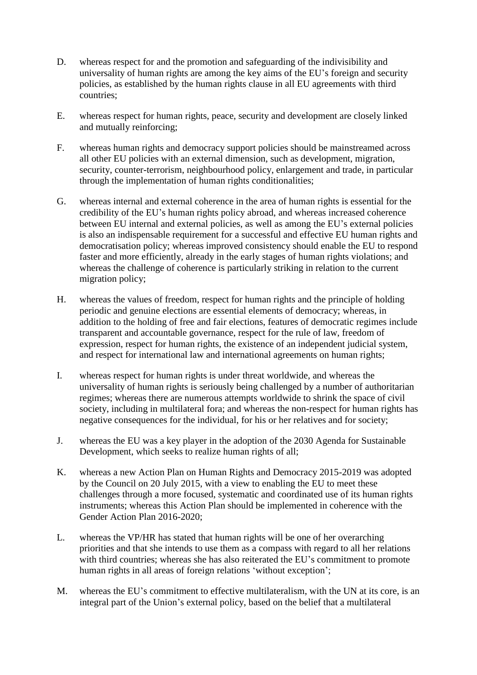- D. whereas respect for and the promotion and safeguarding of the indivisibility and universality of human rights are among the key aims of the EU's foreign and security policies, as established by the human rights clause in all EU agreements with third countries;
- E. whereas respect for human rights, peace, security and development are closely linked and mutually reinforcing;
- F. whereas human rights and democracy support policies should be mainstreamed across all other EU policies with an external dimension, such as development, migration, security, counter-terrorism, neighbourhood policy, enlargement and trade, in particular through the implementation of human rights conditionalities;
- G. whereas internal and external coherence in the area of human rights is essential for the credibility of the EU's human rights policy abroad, and whereas increased coherence between EU internal and external policies, as well as among the EU's external policies is also an indispensable requirement for a successful and effective EU human rights and democratisation policy; whereas improved consistency should enable the EU to respond faster and more efficiently, already in the early stages of human rights violations; and whereas the challenge of coherence is particularly striking in relation to the current migration policy;
- H. whereas the values of freedom, respect for human rights and the principle of holding periodic and genuine elections are essential elements of democracy; whereas, in addition to the holding of free and fair elections, features of democratic regimes include transparent and accountable governance, respect for the rule of law, freedom of expression, respect for human rights, the existence of an independent judicial system, and respect for international law and international agreements on human rights;
- I. whereas respect for human rights is under threat worldwide, and whereas the universality of human rights is seriously being challenged by a number of authoritarian regimes; whereas there are numerous attempts worldwide to shrink the space of civil society, including in multilateral fora; and whereas the non-respect for human rights has negative consequences for the individual, for his or her relatives and for society;
- J. whereas the EU was a key player in the adoption of the 2030 Agenda for Sustainable Development, which seeks to realize human rights of all;
- K. whereas a new Action Plan on Human Rights and Democracy 2015-2019 was adopted by the Council on 20 July 2015, with a view to enabling the EU to meet these challenges through a more focused, systematic and coordinated use of its human rights instruments; whereas this Action Plan should be implemented in coherence with the Gender Action Plan 2016-2020;
- L. whereas the VP/HR has stated that human rights will be one of her overarching priorities and that she intends to use them as a compass with regard to all her relations with third countries; whereas she has also reiterated the EU's commitment to promote human rights in all areas of foreign relations 'without exception';
- M. whereas the EU's commitment to effective multilateralism, with the UN at its core, is an integral part of the Union's external policy, based on the belief that a multilateral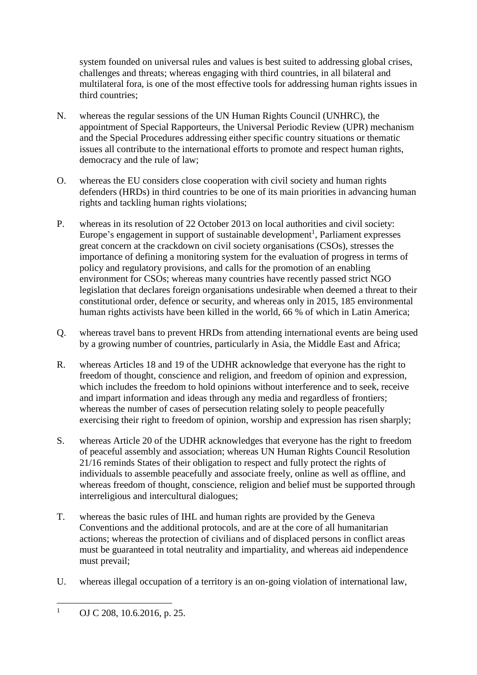system founded on universal rules and values is best suited to addressing global crises, challenges and threats; whereas engaging with third countries, in all bilateral and multilateral fora, is one of the most effective tools for addressing human rights issues in third countries;

- N. whereas the regular sessions of the UN Human Rights Council (UNHRC), the appointment of Special Rapporteurs, the Universal Periodic Review (UPR) mechanism and the Special Procedures addressing either specific country situations or thematic issues all contribute to the international efforts to promote and respect human rights, democracy and the rule of law;
- O. whereas the EU considers close cooperation with civil society and human rights defenders (HRDs) in third countries to be one of its main priorities in advancing human rights and tackling human rights violations;
- P. whereas in its resolution of 22 October 2013 on local authorities and civil society: Europe's engagement in support of sustainable development<sup>1</sup>, Parliament expresses great concern at the crackdown on civil society organisations (CSOs), stresses the importance of defining a monitoring system for the evaluation of progress in terms of policy and regulatory provisions, and calls for the promotion of an enabling environment for CSOs; whereas many countries have recently passed strict NGO legislation that declares foreign organisations undesirable when deemed a threat to their constitutional order, defence or security, and whereas only in 2015, 185 environmental human rights activists have been killed in the world, 66 % of which in Latin America;
- Q. whereas travel bans to prevent HRDs from attending international events are being used by a growing number of countries, particularly in Asia, the Middle East and Africa;
- R. whereas Articles 18 and 19 of the UDHR acknowledge that everyone has the right to freedom of thought, conscience and religion, and freedom of opinion and expression, which includes the freedom to hold opinions without interference and to seek, receive and impart information and ideas through any media and regardless of frontiers; whereas the number of cases of persecution relating solely to people peacefully exercising their right to freedom of opinion, worship and expression has risen sharply;
- S. whereas Article 20 of the UDHR acknowledges that everyone has the right to freedom of peaceful assembly and association; whereas UN Human Rights Council Resolution 21/16 reminds States of their obligation to respect and fully protect the rights of individuals to assemble peacefully and associate freely, online as well as offline, and whereas freedom of thought, conscience, religion and belief must be supported through interreligious and intercultural dialogues;
- T. whereas the basic rules of IHL and human rights are provided by the Geneva Conventions and the additional protocols, and are at the core of all humanitarian actions; whereas the protection of civilians and of displaced persons in conflict areas must be guaranteed in total neutrality and impartiality, and whereas aid independence must prevail;
- U. whereas illegal occupation of a territory is an on-going violation of international law,

 $\mathbf{1}$ OJ C 208, 10.6.2016, p. 25.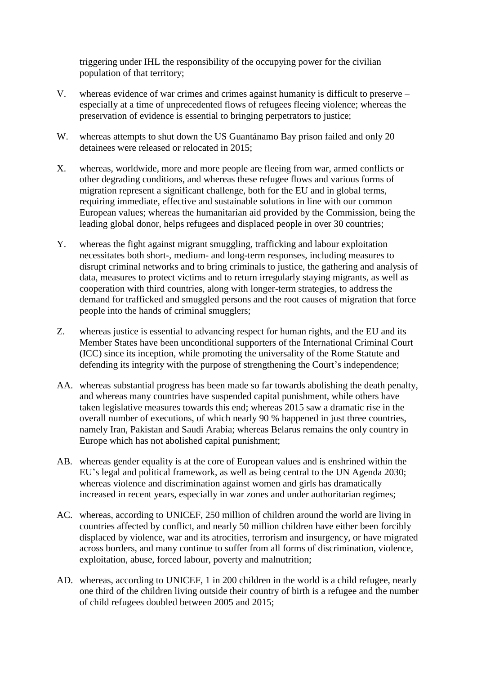triggering under IHL the responsibility of the occupying power for the civilian population of that territory;

- V. whereas evidence of war crimes and crimes against humanity is difficult to preserve especially at a time of unprecedented flows of refugees fleeing violence; whereas the preservation of evidence is essential to bringing perpetrators to justice;
- W. whereas attempts to shut down the US Guantánamo Bay prison failed and only 20 detainees were released or relocated in 2015;
- X. whereas, worldwide, more and more people are fleeing from war, armed conflicts or other degrading conditions, and whereas these refugee flows and various forms of migration represent a significant challenge, both for the EU and in global terms, requiring immediate, effective and sustainable solutions in line with our common European values; whereas the humanitarian aid provided by the Commission, being the leading global donor, helps refugees and displaced people in over 30 countries;
- Y. whereas the fight against migrant smuggling, trafficking and labour exploitation necessitates both short-, medium- and long-term responses, including measures to disrupt criminal networks and to bring criminals to justice, the gathering and analysis of data, measures to protect victims and to return irregularly staying migrants, as well as cooperation with third countries, along with longer-term strategies, to address the demand for trafficked and smuggled persons and the root causes of migration that force people into the hands of criminal smugglers;
- Z. whereas justice is essential to advancing respect for human rights, and the EU and its Member States have been unconditional supporters of the International Criminal Court (ICC) since its inception, while promoting the universality of the Rome Statute and defending its integrity with the purpose of strengthening the Court's independence;
- AA. whereas substantial progress has been made so far towards abolishing the death penalty, and whereas many countries have suspended capital punishment, while others have taken legislative measures towards this end; whereas 2015 saw a dramatic rise in the overall number of executions, of which nearly 90 % happened in just three countries, namely Iran, Pakistan and Saudi Arabia; whereas Belarus remains the only country in Europe which has not abolished capital punishment;
- AB. whereas gender equality is at the core of European values and is enshrined within the EU's legal and political framework, as well as being central to the UN Agenda 2030; whereas violence and discrimination against women and girls has dramatically increased in recent years, especially in war zones and under authoritarian regimes;
- AC. whereas, according to UNICEF, 250 million of children around the world are living in countries affected by conflict, and nearly 50 million children have either been forcibly displaced by violence, war and its atrocities, terrorism and insurgency, or have migrated across borders, and many continue to suffer from all forms of discrimination, violence, exploitation, abuse, forced labour, poverty and malnutrition;
- AD. whereas, according to UNICEF, 1 in 200 children in the world is a child refugee, nearly one third of the children living outside their country of birth is a refugee and the number of child refugees doubled between 2005 and 2015;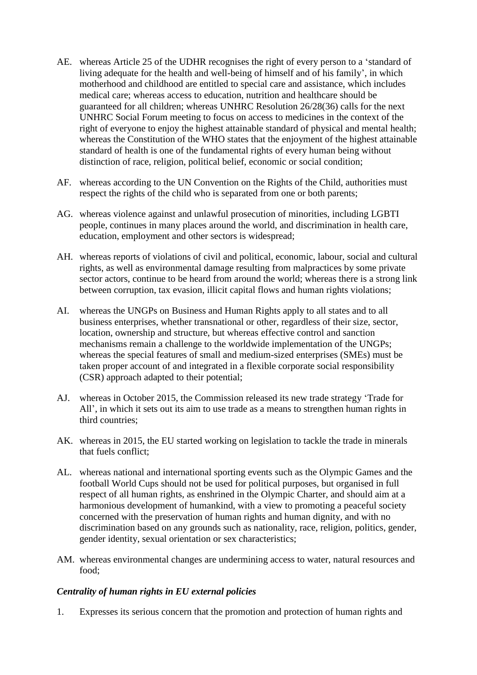- AE. whereas Article 25 of the UDHR recognises the right of every person to a 'standard of living adequate for the health and well-being of himself and of his family', in which motherhood and childhood are entitled to special care and assistance, which includes medical care; whereas access to education, nutrition and healthcare should be guaranteed for all children; whereas UNHRC Resolution 26/28(36) calls for the next UNHRC Social Forum meeting to focus on access to medicines in the context of the right of everyone to enjoy the highest attainable standard of physical and mental health; whereas the Constitution of the WHO states that the enjoyment of the highest attainable standard of health is one of the fundamental rights of every human being without distinction of race, religion, political belief, economic or social condition;
- AF. whereas according to the UN Convention on the Rights of the Child, authorities must respect the rights of the child who is separated from one or both parents;
- AG. whereas violence against and unlawful prosecution of minorities, including LGBTI people, continues in many places around the world, and discrimination in health care, education, employment and other sectors is widespread;
- AH. whereas reports of violations of civil and political, economic, labour, social and cultural rights, as well as environmental damage resulting from malpractices by some private sector actors, continue to be heard from around the world; whereas there is a strong link between corruption, tax evasion, illicit capital flows and human rights violations;
- AI. whereas the UNGPs on Business and Human Rights apply to all states and to all business enterprises, whether transnational or other, regardless of their size, sector, location, ownership and structure, but whereas effective control and sanction mechanisms remain a challenge to the worldwide implementation of the UNGPs; whereas the special features of small and medium-sized enterprises (SMEs) must be taken proper account of and integrated in a flexible corporate social responsibility (CSR) approach adapted to their potential;
- AJ. whereas in October 2015, the Commission released its new trade strategy 'Trade for All', in which it sets out its aim to use trade as a means to strengthen human rights in third countries;
- AK. whereas in 2015, the EU started working on legislation to tackle the trade in minerals that fuels conflict;
- AL. whereas national and international sporting events such as the Olympic Games and the football World Cups should not be used for political purposes, but organised in full respect of all human rights, as enshrined in the Olympic Charter, and should aim at a harmonious development of humankind, with a view to promoting a peaceful society concerned with the preservation of human rights and human dignity, and with no discrimination based on any grounds such as nationality, race, religion, politics, gender, gender identity, sexual orientation or sex characteristics;
- AM. whereas environmental changes are undermining access to water, natural resources and food;

## *Centrality of human rights in EU external policies*

1. Expresses its serious concern that the promotion and protection of human rights and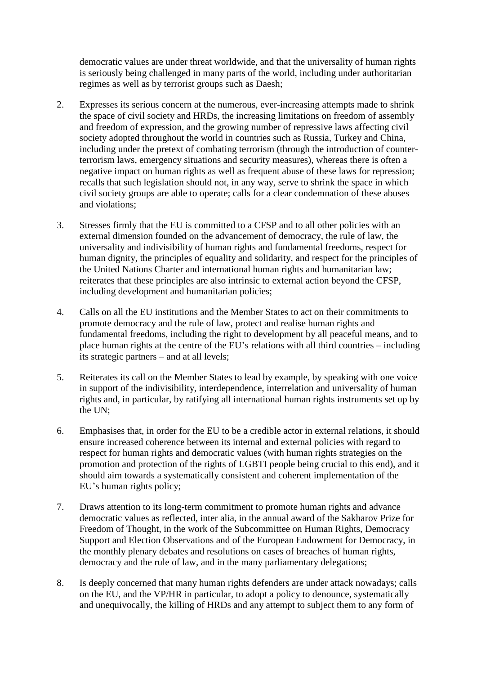democratic values are under threat worldwide, and that the universality of human rights is seriously being challenged in many parts of the world, including under authoritarian regimes as well as by terrorist groups such as Daesh;

- 2. Expresses its serious concern at the numerous, ever-increasing attempts made to shrink the space of civil society and HRDs, the increasing limitations on freedom of assembly and freedom of expression, and the growing number of repressive laws affecting civil society adopted throughout the world in countries such as Russia, Turkey and China, including under the pretext of combating terrorism (through the introduction of counterterrorism laws, emergency situations and security measures), whereas there is often a negative impact on human rights as well as frequent abuse of these laws for repression; recalls that such legislation should not, in any way, serve to shrink the space in which civil society groups are able to operate; calls for a clear condemnation of these abuses and violations;
- 3. Stresses firmly that the EU is committed to a CFSP and to all other policies with an external dimension founded on the advancement of democracy, the rule of law, the universality and indivisibility of human rights and fundamental freedoms, respect for human dignity, the principles of equality and solidarity, and respect for the principles of the United Nations Charter and international human rights and humanitarian law; reiterates that these principles are also intrinsic to external action beyond the CFSP, including development and humanitarian policies;
- 4. Calls on all the EU institutions and the Member States to act on their commitments to promote democracy and the rule of law, protect and realise human rights and fundamental freedoms, including the right to development by all peaceful means, and to place human rights at the centre of the EU's relations with all third countries – including its strategic partners – and at all levels;
- 5. Reiterates its call on the Member States to lead by example, by speaking with one voice in support of the indivisibility, interdependence, interrelation and universality of human rights and, in particular, by ratifying all international human rights instruments set up by the UN;
- 6. Emphasises that, in order for the EU to be a credible actor in external relations, it should ensure increased coherence between its internal and external policies with regard to respect for human rights and democratic values (with human rights strategies on the promotion and protection of the rights of LGBTI people being crucial to this end), and it should aim towards a systematically consistent and coherent implementation of the EU's human rights policy;
- 7. Draws attention to its long-term commitment to promote human rights and advance democratic values as reflected, inter alia, in the annual award of the Sakharov Prize for Freedom of Thought, in the work of the Subcommittee on Human Rights, Democracy Support and Election Observations and of the European Endowment for Democracy, in the monthly plenary debates and resolutions on cases of breaches of human rights, democracy and the rule of law, and in the many parliamentary delegations;
- 8. Is deeply concerned that many human rights defenders are under attack nowadays; calls on the EU, and the VP/HR in particular, to adopt a policy to denounce, systematically and unequivocally, the killing of HRDs and any attempt to subject them to any form of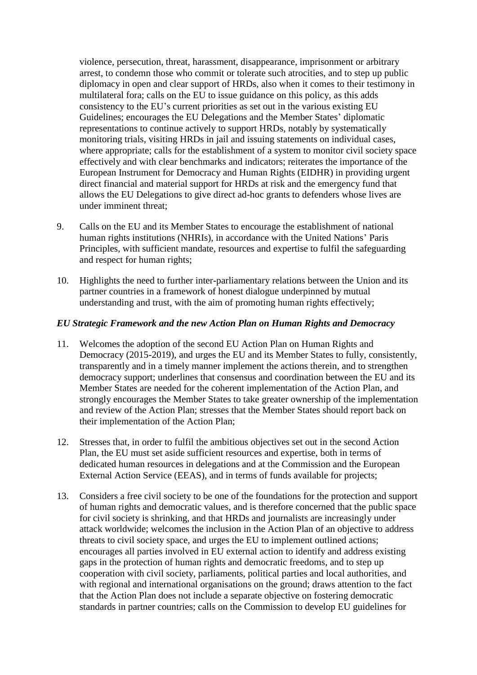violence, persecution, threat, harassment, disappearance, imprisonment or arbitrary arrest, to condemn those who commit or tolerate such atrocities, and to step up public diplomacy in open and clear support of HRDs, also when it comes to their testimony in multilateral fora; calls on the EU to issue guidance on this policy, as this adds consistency to the EU's current priorities as set out in the various existing EU Guidelines; encourages the EU Delegations and the Member States' diplomatic representations to continue actively to support HRDs, notably by systematically monitoring trials, visiting HRDs in jail and issuing statements on individual cases, where appropriate; calls for the establishment of a system to monitor civil society space effectively and with clear benchmarks and indicators; reiterates the importance of the European Instrument for Democracy and Human Rights (EIDHR) in providing urgent direct financial and material support for HRDs at risk and the emergency fund that allows the EU Delegations to give direct ad-hoc grants to defenders whose lives are under imminent threat;

- 9. Calls on the EU and its Member States to encourage the establishment of national human rights institutions (NHRIs), in accordance with the United Nations' Paris Principles, with sufficient mandate, resources and expertise to fulfil the safeguarding and respect for human rights;
- 10. Highlights the need to further inter-parliamentary relations between the Union and its partner countries in a framework of honest dialogue underpinned by mutual understanding and trust, with the aim of promoting human rights effectively;

### *EU Strategic Framework and the new Action Plan on Human Rights and Democracy*

- 11. Welcomes the adoption of the second EU Action Plan on Human Rights and Democracy (2015-2019), and urges the EU and its Member States to fully, consistently, transparently and in a timely manner implement the actions therein, and to strengthen democracy support; underlines that consensus and coordination between the EU and its Member States are needed for the coherent implementation of the Action Plan, and strongly encourages the Member States to take greater ownership of the implementation and review of the Action Plan; stresses that the Member States should report back on their implementation of the Action Plan;
- 12. Stresses that, in order to fulfil the ambitious objectives set out in the second Action Plan, the EU must set aside sufficient resources and expertise, both in terms of dedicated human resources in delegations and at the Commission and the European External Action Service (EEAS), and in terms of funds available for projects;
- 13. Considers a free civil society to be one of the foundations for the protection and support of human rights and democratic values, and is therefore concerned that the public space for civil society is shrinking, and that HRDs and journalists are increasingly under attack worldwide; welcomes the inclusion in the Action Plan of an objective to address threats to civil society space, and urges the EU to implement outlined actions; encourages all parties involved in EU external action to identify and address existing gaps in the protection of human rights and democratic freedoms, and to step up cooperation with civil society, parliaments, political parties and local authorities, and with regional and international organisations on the ground; draws attention to the fact that the Action Plan does not include a separate objective on fostering democratic standards in partner countries; calls on the Commission to develop EU guidelines for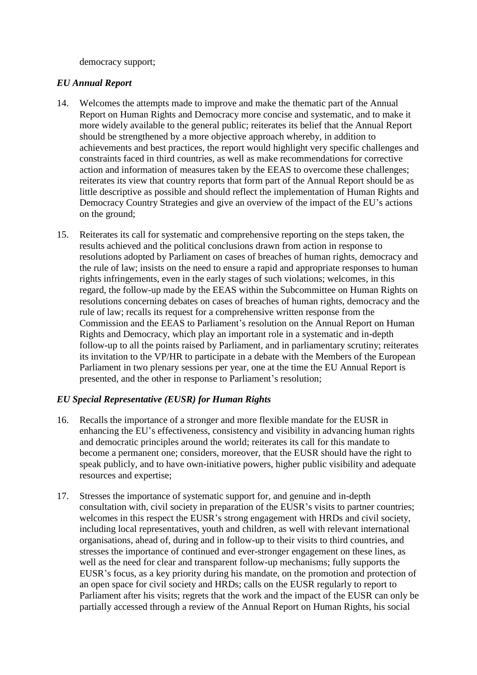democracy support;

### *EU Annual Report*

- 14. Welcomes the attempts made to improve and make the thematic part of the Annual Report on Human Rights and Democracy more concise and systematic, and to make it more widely available to the general public; reiterates its belief that the Annual Report should be strengthened by a more objective approach whereby, in addition to achievements and best practices, the report would highlight very specific challenges and constraints faced in third countries, as well as make recommendations for corrective action and information of measures taken by the EEAS to overcome these challenges; reiterates its view that country reports that form part of the Annual Report should be as little descriptive as possible and should reflect the implementation of Human Rights and Democracy Country Strategies and give an overview of the impact of the EU's actions on the ground;
- 15. Reiterates its call for systematic and comprehensive reporting on the steps taken, the results achieved and the political conclusions drawn from action in response to resolutions adopted by Parliament on cases of breaches of human rights, democracy and the rule of law; insists on the need to ensure a rapid and appropriate responses to human rights infringements, even in the early stages of such violations; welcomes, in this regard, the follow-up made by the EEAS within the Subcommittee on Human Rights on resolutions concerning debates on cases of breaches of human rights, democracy and the rule of law; recalls its request for a comprehensive written response from the Commission and the EEAS to Parliament's resolution on the Annual Report on Human Rights and Democracy, which play an important role in a systematic and in-depth follow-up to all the points raised by Parliament, and in parliamentary scrutiny; reiterates its invitation to the VP/HR to participate in a debate with the Members of the European Parliament in two plenary sessions per year, one at the time the EU Annual Report is presented, and the other in response to Parliament's resolution;

## *EU Special Representative (EUSR) for Human Rights*

- 16. Recalls the importance of a stronger and more flexible mandate for the EUSR in enhancing the EU's effectiveness, consistency and visibility in advancing human rights and democratic principles around the world; reiterates its call for this mandate to become a permanent one; considers, moreover, that the EUSR should have the right to speak publicly, and to have own-initiative powers, higher public visibility and adequate resources and expertise;
- 17. Stresses the importance of systematic support for, and genuine and in-depth consultation with, civil society in preparation of the EUSR's visits to partner countries; welcomes in this respect the EUSR's strong engagement with HRDs and civil society, including local representatives, youth and children, as well with relevant international organisations, ahead of, during and in follow-up to their visits to third countries, and stresses the importance of continued and ever-stronger engagement on these lines, as well as the need for clear and transparent follow-up mechanisms; fully supports the EUSR's focus, as a key priority during his mandate, on the promotion and protection of an open space for civil society and HRDs; calls on the EUSR regularly to report to Parliament after his visits; regrets that the work and the impact of the EUSR can only be partially accessed through a review of the Annual Report on Human Rights, his social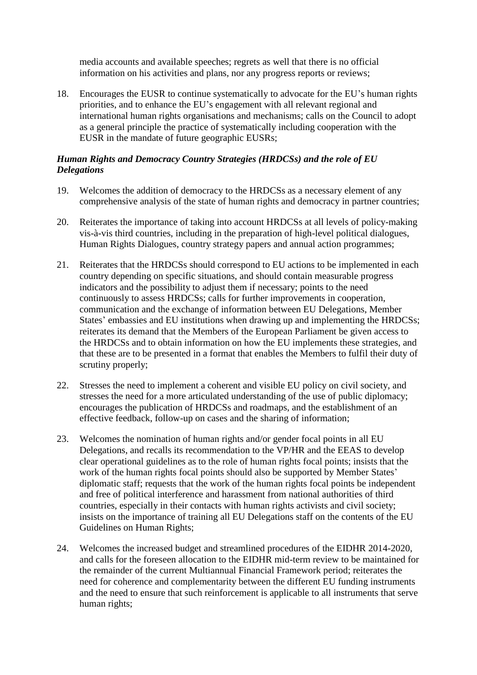media accounts and available speeches; regrets as well that there is no official information on his activities and plans, nor any progress reports or reviews;

18. Encourages the EUSR to continue systematically to advocate for the EU's human rights priorities, and to enhance the EU's engagement with all relevant regional and international human rights organisations and mechanisms; calls on the Council to adopt as a general principle the practice of systematically including cooperation with the EUSR in the mandate of future geographic EUSRs;

## *Human Rights and Democracy Country Strategies (HRDCSs) and the role of EU Delegations*

- 19. Welcomes the addition of democracy to the HRDCSs as a necessary element of any comprehensive analysis of the state of human rights and democracy in partner countries;
- 20. Reiterates the importance of taking into account HRDCSs at all levels of policy-making vis-à-vis third countries, including in the preparation of high-level political dialogues, Human Rights Dialogues, country strategy papers and annual action programmes;
- 21. Reiterates that the HRDCSs should correspond to EU actions to be implemented in each country depending on specific situations, and should contain measurable progress indicators and the possibility to adjust them if necessary; points to the need continuously to assess HRDCSs; calls for further improvements in cooperation, communication and the exchange of information between EU Delegations, Member States' embassies and EU institutions when drawing up and implementing the HRDCSs; reiterates its demand that the Members of the European Parliament be given access to the HRDCSs and to obtain information on how the EU implements these strategies, and that these are to be presented in a format that enables the Members to fulfil their duty of scrutiny properly;
- 22. Stresses the need to implement a coherent and visible EU policy on civil society, and stresses the need for a more articulated understanding of the use of public diplomacy; encourages the publication of HRDCSs and roadmaps, and the establishment of an effective feedback, follow-up on cases and the sharing of information;
- 23. Welcomes the nomination of human rights and/or gender focal points in all EU Delegations, and recalls its recommendation to the VP/HR and the EEAS to develop clear operational guidelines as to the role of human rights focal points; insists that the work of the human rights focal points should also be supported by Member States' diplomatic staff; requests that the work of the human rights focal points be independent and free of political interference and harassment from national authorities of third countries, especially in their contacts with human rights activists and civil society; insists on the importance of training all EU Delegations staff on the contents of the EU Guidelines on Human Rights;
- 24. Welcomes the increased budget and streamlined procedures of the EIDHR 2014-2020, and calls for the foreseen allocation to the EIDHR mid-term review to be maintained for the remainder of the current Multiannual Financial Framework period; reiterates the need for coherence and complementarity between the different EU funding instruments and the need to ensure that such reinforcement is applicable to all instruments that serve human rights;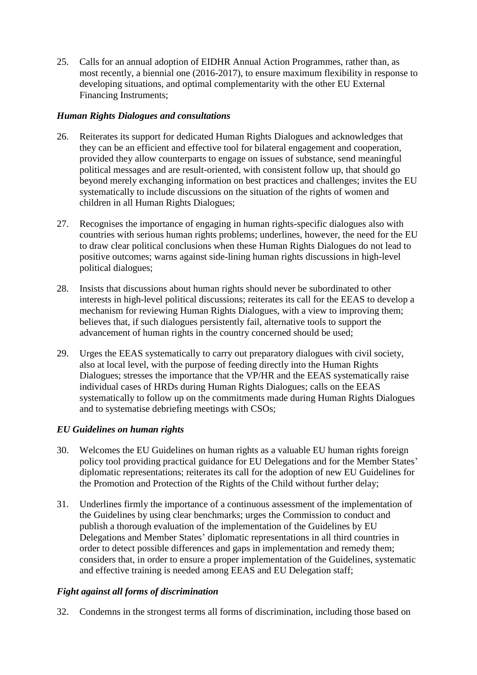25. Calls for an annual adoption of EIDHR Annual Action Programmes, rather than, as most recently, a biennial one (2016-2017), to ensure maximum flexibility in response to developing situations, and optimal complementarity with the other EU External Financing Instruments;

## *Human Rights Dialogues and consultations*

- 26. Reiterates its support for dedicated Human Rights Dialogues and acknowledges that they can be an efficient and effective tool for bilateral engagement and cooperation, provided they allow counterparts to engage on issues of substance, send meaningful political messages and are result-oriented, with consistent follow up, that should go beyond merely exchanging information on best practices and challenges; invites the EU systematically to include discussions on the situation of the rights of women and children in all Human Rights Dialogues;
- 27. Recognises the importance of engaging in human rights-specific dialogues also with countries with serious human rights problems; underlines, however, the need for the EU to draw clear political conclusions when these Human Rights Dialogues do not lead to positive outcomes; warns against side-lining human rights discussions in high-level political dialogues;
- 28. Insists that discussions about human rights should never be subordinated to other interests in high-level political discussions; reiterates its call for the EEAS to develop a mechanism for reviewing Human Rights Dialogues, with a view to improving them; believes that, if such dialogues persistently fail, alternative tools to support the advancement of human rights in the country concerned should be used;
- 29. Urges the EEAS systematically to carry out preparatory dialogues with civil society, also at local level, with the purpose of feeding directly into the Human Rights Dialogues; stresses the importance that the VP/HR and the EEAS systematically raise individual cases of HRDs during Human Rights Dialogues; calls on the EEAS systematically to follow up on the commitments made during Human Rights Dialogues and to systematise debriefing meetings with CSOs;

## *EU Guidelines on human rights*

- 30. Welcomes the EU Guidelines on human rights as a valuable EU human rights foreign policy tool providing practical guidance for EU Delegations and for the Member States' diplomatic representations; reiterates its call for the adoption of new EU Guidelines for the Promotion and Protection of the Rights of the Child without further delay;
- 31. Underlines firmly the importance of a continuous assessment of the implementation of the Guidelines by using clear benchmarks; urges the Commission to conduct and publish a thorough evaluation of the implementation of the Guidelines by EU Delegations and Member States' diplomatic representations in all third countries in order to detect possible differences and gaps in implementation and remedy them; considers that, in order to ensure a proper implementation of the Guidelines, systematic and effective training is needed among EEAS and EU Delegation staff;

## *Fight against all forms of discrimination*

32. Condemns in the strongest terms all forms of discrimination, including those based on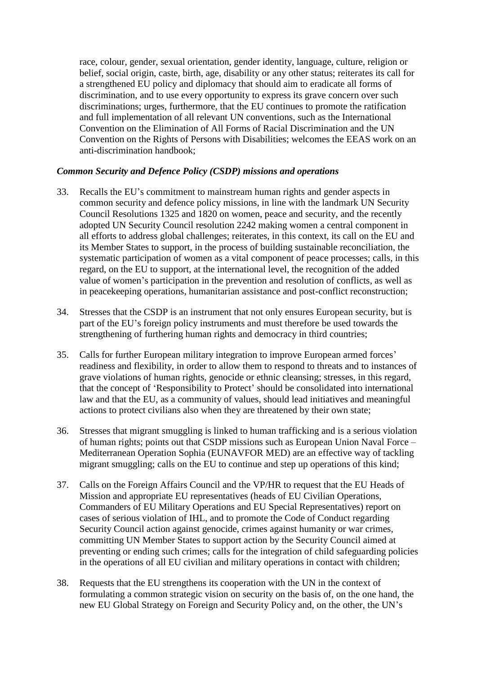race, colour, gender, sexual orientation, gender identity, language, culture, religion or belief, social origin, caste, birth, age, disability or any other status; reiterates its call for a strengthened EU policy and diplomacy that should aim to eradicate all forms of discrimination, and to use every opportunity to express its grave concern over such discriminations; urges, furthermore, that the EU continues to promote the ratification and full implementation of all relevant UN conventions, such as the International Convention on the Elimination of All Forms of Racial Discrimination and the UN Convention on the Rights of Persons with Disabilities; welcomes the EEAS work on an anti-discrimination handbook;

### *Common Security and Defence Policy (CSDP) missions and operations*

- 33. Recalls the EU's commitment to mainstream human rights and gender aspects in common security and defence policy missions, in line with the landmark UN Security Council Resolutions 1325 and 1820 on women, peace and security, and the recently adopted UN Security Council resolution 2242 making women a central component in all efforts to address global challenges; reiterates, in this context, its call on the EU and its Member States to support, in the process of building sustainable reconciliation, the systematic participation of women as a vital component of peace processes; calls, in this regard, on the EU to support, at the international level, the recognition of the added value of women's participation in the prevention and resolution of conflicts, as well as in peacekeeping operations, humanitarian assistance and post-conflict reconstruction;
- 34. Stresses that the CSDP is an instrument that not only ensures European security, but is part of the EU's foreign policy instruments and must therefore be used towards the strengthening of furthering human rights and democracy in third countries;
- 35. Calls for further European military integration to improve European armed forces' readiness and flexibility, in order to allow them to respond to threats and to instances of grave violations of human rights, genocide or ethnic cleansing; stresses, in this regard, that the concept of 'Responsibility to Protect' should be consolidated into international law and that the EU, as a community of values, should lead initiatives and meaningful actions to protect civilians also when they are threatened by their own state;
- 36. Stresses that migrant smuggling is linked to human trafficking and is a serious violation of human rights; points out that CSDP missions such as European Union Naval Force – Mediterranean Operation Sophia (EUNAVFOR MED) are an effective way of tackling migrant smuggling; calls on the EU to continue and step up operations of this kind;
- 37. Calls on the Foreign Affairs Council and the VP/HR to request that the EU Heads of Mission and appropriate EU representatives (heads of EU Civilian Operations, Commanders of EU Military Operations and EU Special Representatives) report on cases of serious violation of IHL, and to promote the Code of Conduct regarding Security Council action against genocide, crimes against humanity or war crimes, committing UN Member States to support action by the Security Council aimed at preventing or ending such crimes; calls for the integration of child safeguarding policies in the operations of all EU civilian and military operations in contact with children;
- 38. Requests that the EU strengthens its cooperation with the UN in the context of formulating a common strategic vision on security on the basis of, on the one hand, the new EU Global Strategy on Foreign and Security Policy and, on the other, the UN's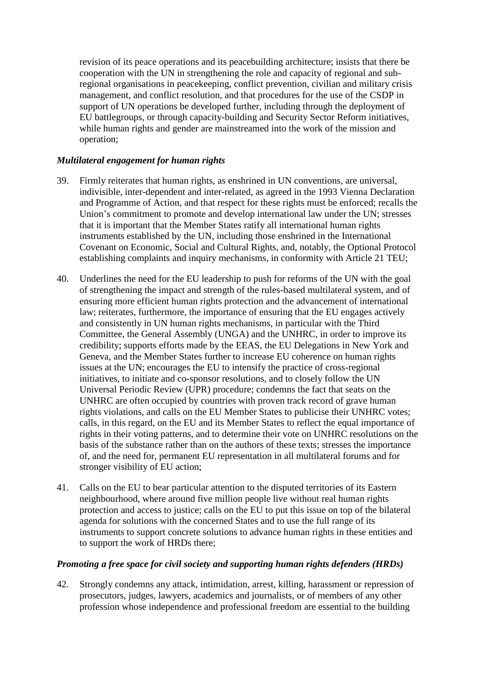revision of its peace operations and its peacebuilding architecture; insists that there be cooperation with the UN in strengthening the role and capacity of regional and subregional organisations in peacekeeping, conflict prevention, civilian and military crisis management, and conflict resolution, and that procedures for the use of the CSDP in support of UN operations be developed further, including through the deployment of EU battlegroups, or through capacity-building and Security Sector Reform initiatives, while human rights and gender are mainstreamed into the work of the mission and operation;

### *Multilateral engagement for human rights*

- 39. Firmly reiterates that human rights, as enshrined in UN conventions, are universal, indivisible, inter-dependent and inter-related, as agreed in the 1993 Vienna Declaration and Programme of Action, and that respect for these rights must be enforced; recalls the Union's commitment to promote and develop international law under the UN; stresses that it is important that the Member States ratify all international human rights instruments established by the UN, including those enshrined in the International Covenant on Economic, Social and Cultural Rights, and, notably, the Optional Protocol establishing complaints and inquiry mechanisms, in conformity with Article 21 TEU;
- 40. Underlines the need for the EU leadership to push for reforms of the UN with the goal of strengthening the impact and strength of the rules-based multilateral system, and of ensuring more efficient human rights protection and the advancement of international law; reiterates, furthermore, the importance of ensuring that the EU engages actively and consistently in UN human rights mechanisms, in particular with the Third Committee, the General Assembly (UNGA) and the UNHRC, in order to improve its credibility; supports efforts made by the EEAS, the EU Delegations in New York and Geneva, and the Member States further to increase EU coherence on human rights issues at the UN; encourages the EU to intensify the practice of cross-regional initiatives, to initiate and co-sponsor resolutions, and to closely follow the UN Universal Periodic Review (UPR) procedure; condemns the fact that seats on the UNHRC are often occupied by countries with proven track record of grave human rights violations, and calls on the EU Member States to publicise their UNHRC votes; calls, in this regard, on the EU and its Member States to reflect the equal importance of rights in their voting patterns, and to determine their vote on UNHRC resolutions on the basis of the substance rather than on the authors of these texts; stresses the importance of, and the need for, permanent EU representation in all multilateral forums and for stronger visibility of EU action;
- 41. Calls on the EU to bear particular attention to the disputed territories of its Eastern neighbourhood, where around five million people live without real human rights protection and access to justice; calls on the EU to put this issue on top of the bilateral agenda for solutions with the concerned States and to use the full range of its instruments to support concrete solutions to advance human rights in these entities and to support the work of HRDs there;

### *Promoting a free space for civil society and supporting human rights defenders (HRDs)*

42. Strongly condemns any attack, intimidation, arrest, killing, harassment or repression of prosecutors, judges, lawyers, academics and journalists, or of members of any other profession whose independence and professional freedom are essential to the building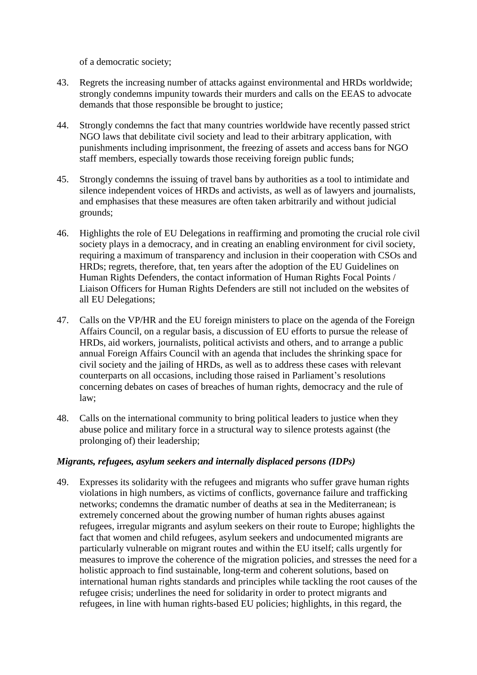of a democratic society;

- 43. Regrets the increasing number of attacks against environmental and HRDs worldwide; strongly condemns impunity towards their murders and calls on the EEAS to advocate demands that those responsible be brought to justice;
- 44. Strongly condemns the fact that many countries worldwide have recently passed strict NGO laws that debilitate civil society and lead to their arbitrary application, with punishments including imprisonment, the freezing of assets and access bans for NGO staff members, especially towards those receiving foreign public funds;
- 45. Strongly condemns the issuing of travel bans by authorities as a tool to intimidate and silence independent voices of HRDs and activists, as well as of lawyers and journalists, and emphasises that these measures are often taken arbitrarily and without judicial grounds;
- 46. Highlights the role of EU Delegations in reaffirming and promoting the crucial role civil society plays in a democracy, and in creating an enabling environment for civil society, requiring a maximum of transparency and inclusion in their cooperation with CSOs and HRDs; regrets, therefore, that, ten years after the adoption of the EU Guidelines on Human Rights Defenders, the contact information of Human Rights Focal Points / Liaison Officers for Human Rights Defenders are still not included on the websites of all EU Delegations;
- 47. Calls on the VP/HR and the EU foreign ministers to place on the agenda of the Foreign Affairs Council, on a regular basis, a discussion of EU efforts to pursue the release of HRDs, aid workers, journalists, political activists and others, and to arrange a public annual Foreign Affairs Council with an agenda that includes the shrinking space for civil society and the jailing of HRDs, as well as to address these cases with relevant counterparts on all occasions, including those raised in Parliament's resolutions concerning debates on cases of breaches of human rights, democracy and the rule of law;
- 48. Calls on the international community to bring political leaders to justice when they abuse police and military force in a structural way to silence protests against (the prolonging of) their leadership;

## *Migrants, refugees, asylum seekers and internally displaced persons (IDPs)*

49. Expresses its solidarity with the refugees and migrants who suffer grave human rights violations in high numbers, as victims of conflicts, governance failure and trafficking networks; condemns the dramatic number of deaths at sea in the Mediterranean; is extremely concerned about the growing number of human rights abuses against refugees, irregular migrants and asylum seekers on their route to Europe; highlights the fact that women and child refugees, asylum seekers and undocumented migrants are particularly vulnerable on migrant routes and within the EU itself; calls urgently for measures to improve the coherence of the migration policies, and stresses the need for a holistic approach to find sustainable, long-term and coherent solutions, based on international human rights standards and principles while tackling the root causes of the refugee crisis; underlines the need for solidarity in order to protect migrants and refugees, in line with human rights-based EU policies; highlights, in this regard, the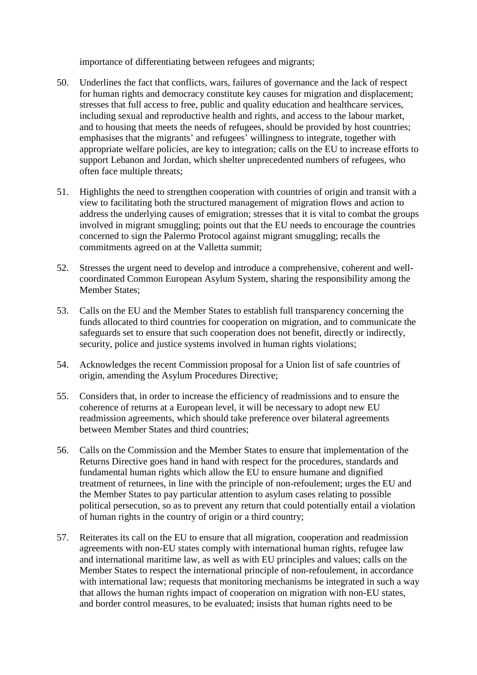importance of differentiating between refugees and migrants;

- 50. Underlines the fact that conflicts, wars, failures of governance and the lack of respect for human rights and democracy constitute key causes for migration and displacement; stresses that full access to free, public and quality education and healthcare services, including sexual and reproductive health and rights, and access to the labour market, and to housing that meets the needs of refugees, should be provided by host countries; emphasises that the migrants' and refugees' willingness to integrate, together with appropriate welfare policies, are key to integration; calls on the EU to increase efforts to support Lebanon and Jordan, which shelter unprecedented numbers of refugees, who often face multiple threats;
- 51. Highlights the need to strengthen cooperation with countries of origin and transit with a view to facilitating both the structured management of migration flows and action to address the underlying causes of emigration; stresses that it is vital to combat the groups involved in migrant smuggling; points out that the EU needs to encourage the countries concerned to sign the Palermo Protocol against migrant smuggling; recalls the commitments agreed on at the Valletta summit;
- 52. Stresses the urgent need to develop and introduce a comprehensive, coherent and wellcoordinated Common European Asylum System, sharing the responsibility among the Member States;
- 53. Calls on the EU and the Member States to establish full transparency concerning the funds allocated to third countries for cooperation on migration, and to communicate the safeguards set to ensure that such cooperation does not benefit, directly or indirectly, security, police and justice systems involved in human rights violations;
- 54. Acknowledges the recent Commission proposal for a Union list of safe countries of origin, amending the Asylum Procedures Directive;
- 55. Considers that, in order to increase the efficiency of readmissions and to ensure the coherence of returns at a European level, it will be necessary to adopt new EU readmission agreements, which should take preference over bilateral agreements between Member States and third countries;
- 56. Calls on the Commission and the Member States to ensure that implementation of the Returns Directive goes hand in hand with respect for the procedures, standards and fundamental human rights which allow the EU to ensure humane and dignified treatment of returnees, in line with the principle of non-refoulement; urges the EU and the Member States to pay particular attention to asylum cases relating to possible political persecution, so as to prevent any return that could potentially entail a violation of human rights in the country of origin or a third country;
- 57. Reiterates its call on the EU to ensure that all migration, cooperation and readmission agreements with non-EU states comply with international human rights, refugee law and international maritime law, as well as with EU principles and values; calls on the Member States to respect the international principle of non-refoulement, in accordance with international law; requests that monitoring mechanisms be integrated in such a way that allows the human rights impact of cooperation on migration with non-EU states, and border control measures, to be evaluated; insists that human rights need to be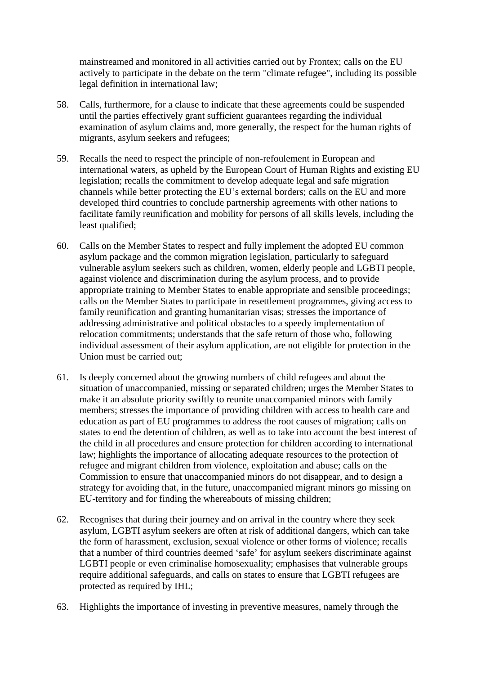mainstreamed and monitored in all activities carried out by Frontex; calls on the EU actively to participate in the debate on the term "climate refugee", including its possible legal definition in international law;

- 58. Calls, furthermore, for a clause to indicate that these agreements could be suspended until the parties effectively grant sufficient guarantees regarding the individual examination of asylum claims and, more generally, the respect for the human rights of migrants, asylum seekers and refugees;
- 59. Recalls the need to respect the principle of non-refoulement in European and international waters, as upheld by the European Court of Human Rights and existing EU legislation; recalls the commitment to develop adequate legal and safe migration channels while better protecting the EU's external borders; calls on the EU and more developed third countries to conclude partnership agreements with other nations to facilitate family reunification and mobility for persons of all skills levels, including the least qualified;
- 60. Calls on the Member States to respect and fully implement the adopted EU common asylum package and the common migration legislation, particularly to safeguard vulnerable asylum seekers such as children, women, elderly people and LGBTI people, against violence and discrimination during the asylum process, and to provide appropriate training to Member States to enable appropriate and sensible proceedings; calls on the Member States to participate in resettlement programmes, giving access to family reunification and granting humanitarian visas; stresses the importance of addressing administrative and political obstacles to a speedy implementation of relocation commitments; understands that the safe return of those who, following individual assessment of their asylum application, are not eligible for protection in the Union must be carried out;
- 61. Is deeply concerned about the growing numbers of child refugees and about the situation of unaccompanied, missing or separated children; urges the Member States to make it an absolute priority swiftly to reunite unaccompanied minors with family members; stresses the importance of providing children with access to health care and education as part of EU programmes to address the root causes of migration; calls on states to end the detention of children, as well as to take into account the best interest of the child in all procedures and ensure protection for children according to international law; highlights the importance of allocating adequate resources to the protection of refugee and migrant children from violence, exploitation and abuse; calls on the Commission to ensure that unaccompanied minors do not disappear, and to design a strategy for avoiding that, in the future, unaccompanied migrant minors go missing on EU-territory and for finding the whereabouts of missing children;
- 62. Recognises that during their journey and on arrival in the country where they seek asylum, LGBTI asylum seekers are often at risk of additional dangers, which can take the form of harassment, exclusion, sexual violence or other forms of violence; recalls that a number of third countries deemed 'safe' for asylum seekers discriminate against LGBTI people or even criminalise homosexuality; emphasises that vulnerable groups require additional safeguards, and calls on states to ensure that LGBTI refugees are protected as required by IHL;
- 63. Highlights the importance of investing in preventive measures, namely through the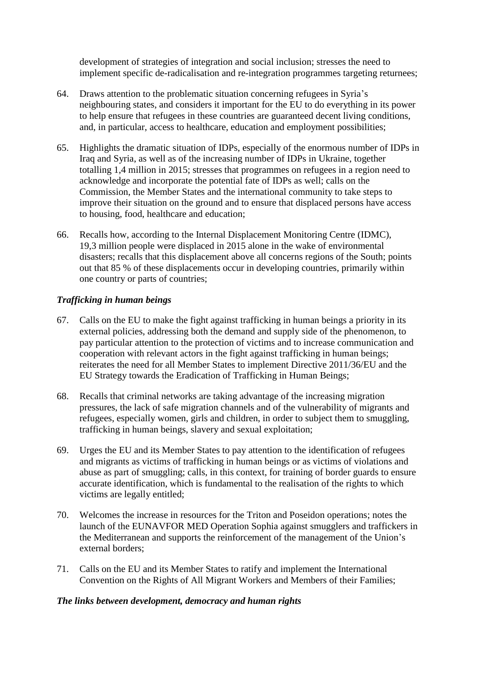development of strategies of integration and social inclusion; stresses the need to implement specific de-radicalisation and re-integration programmes targeting returnees;

- 64. Draws attention to the problematic situation concerning refugees in Syria's neighbouring states, and considers it important for the EU to do everything in its power to help ensure that refugees in these countries are guaranteed decent living conditions, and, in particular, access to healthcare, education and employment possibilities;
- 65. Highlights the dramatic situation of IDPs, especially of the enormous number of IDPs in Iraq and Syria, as well as of the increasing number of IDPs in Ukraine, together totalling 1,4 million in 2015; stresses that programmes on refugees in a region need to acknowledge and incorporate the potential fate of IDPs as well; calls on the Commission, the Member States and the international community to take steps to improve their situation on the ground and to ensure that displaced persons have access to housing, food, healthcare and education;
- 66. Recalls how, according to the Internal Displacement Monitoring Centre (IDMC), 19,3 million people were displaced in 2015 alone in the wake of environmental disasters; recalls that this displacement above all concerns regions of the South; points out that 85 % of these displacements occur in developing countries, primarily within one country or parts of countries;

## *Trafficking in human beings*

- 67. Calls on the EU to make the fight against trafficking in human beings a priority in its external policies, addressing both the demand and supply side of the phenomenon, to pay particular attention to the protection of victims and to increase communication and cooperation with relevant actors in the fight against trafficking in human beings; reiterates the need for all Member States to implement Directive 2011/36/EU and the EU Strategy towards the Eradication of Trafficking in Human Beings;
- 68. Recalls that criminal networks are taking advantage of the increasing migration pressures, the lack of safe migration channels and of the vulnerability of migrants and refugees, especially women, girls and children, in order to subject them to smuggling, trafficking in human beings, slavery and sexual exploitation;
- 69. Urges the EU and its Member States to pay attention to the identification of refugees and migrants as victims of trafficking in human beings or as victims of violations and abuse as part of smuggling; calls, in this context, for training of border guards to ensure accurate identification, which is fundamental to the realisation of the rights to which victims are legally entitled;
- 70. Welcomes the increase in resources for the Triton and Poseidon operations; notes the launch of the EUNAVFOR MED Operation Sophia against smugglers and traffickers in the Mediterranean and supports the reinforcement of the management of the Union's external borders;
- 71. Calls on the EU and its Member States to ratify and implement the International Convention on the Rights of All Migrant Workers and Members of their Families;

## *The links between development, democracy and human rights*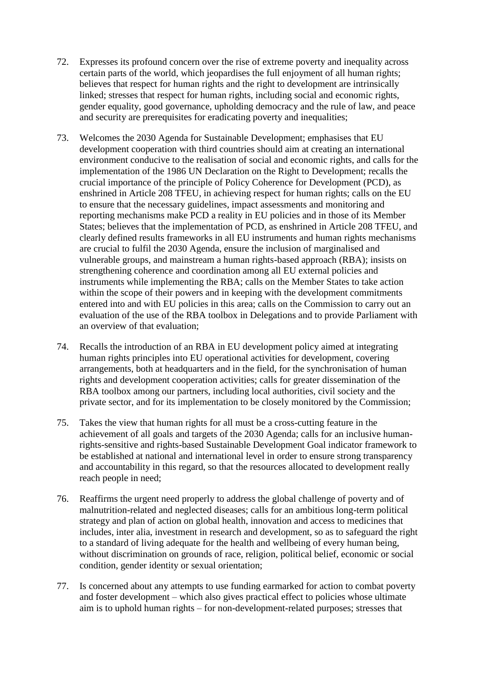- 72. Expresses its profound concern over the rise of extreme poverty and inequality across certain parts of the world, which jeopardises the full enjoyment of all human rights; believes that respect for human rights and the right to development are intrinsically linked; stresses that respect for human rights, including social and economic rights, gender equality, good governance, upholding democracy and the rule of law, and peace and security are prerequisites for eradicating poverty and inequalities;
- 73. Welcomes the 2030 Agenda for Sustainable Development; emphasises that EU development cooperation with third countries should aim at creating an international environment conducive to the realisation of social and economic rights, and calls for the implementation of the 1986 UN Declaration on the Right to Development; recalls the crucial importance of the principle of Policy Coherence for Development (PCD), as enshrined in Article 208 TFEU, in achieving respect for human rights; calls on the EU to ensure that the necessary guidelines, impact assessments and monitoring and reporting mechanisms make PCD a reality in EU policies and in those of its Member States; believes that the implementation of PCD, as enshrined in Article 208 TFEU, and clearly defined results frameworks in all EU instruments and human rights mechanisms are crucial to fulfil the 2030 Agenda, ensure the inclusion of marginalised and vulnerable groups, and mainstream a human rights-based approach (RBA); insists on strengthening coherence and coordination among all EU external policies and instruments while implementing the RBA; calls on the Member States to take action within the scope of their powers and in keeping with the development commitments entered into and with EU policies in this area; calls on the Commission to carry out an evaluation of the use of the RBA toolbox in Delegations and to provide Parliament with an overview of that evaluation;
- 74. Recalls the introduction of an RBA in EU development policy aimed at integrating human rights principles into EU operational activities for development, covering arrangements, both at headquarters and in the field, for the synchronisation of human rights and development cooperation activities; calls for greater dissemination of the RBA toolbox among our partners, including local authorities, civil society and the private sector, and for its implementation to be closely monitored by the Commission;
- 75. Takes the view that human rights for all must be a cross-cutting feature in the achievement of all goals and targets of the 2030 Agenda; calls for an inclusive humanrights-sensitive and rights-based Sustainable Development Goal indicator framework to be established at national and international level in order to ensure strong transparency and accountability in this regard, so that the resources allocated to development really reach people in need;
- 76. Reaffirms the urgent need properly to address the global challenge of poverty and of malnutrition-related and neglected diseases; calls for an ambitious long-term political strategy and plan of action on global health, innovation and access to medicines that includes, inter alia, investment in research and development, so as to safeguard the right to a standard of living adequate for the health and wellbeing of every human being, without discrimination on grounds of race, religion, political belief, economic or social condition, gender identity or sexual orientation;
- 77. Is concerned about any attempts to use funding earmarked for action to combat poverty and foster development – which also gives practical effect to policies whose ultimate aim is to uphold human rights – for non-development-related purposes; stresses that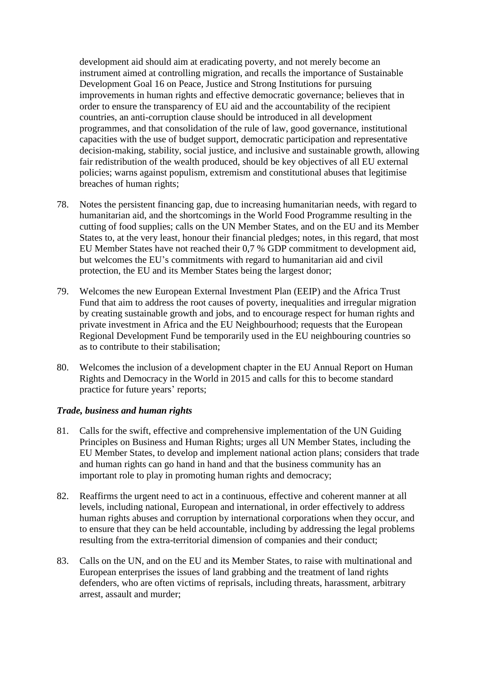development aid should aim at eradicating poverty, and not merely become an instrument aimed at controlling migration, and recalls the importance of Sustainable Development Goal 16 on Peace, Justice and Strong Institutions for pursuing improvements in human rights and effective democratic governance; believes that in order to ensure the transparency of EU aid and the accountability of the recipient countries, an anti-corruption clause should be introduced in all development programmes, and that consolidation of the rule of law, good governance, institutional capacities with the use of budget support, democratic participation and representative decision-making, stability, social justice, and inclusive and sustainable growth, allowing fair redistribution of the wealth produced, should be key objectives of all EU external policies; warns against populism, extremism and constitutional abuses that legitimise breaches of human rights;

- 78. Notes the persistent financing gap, due to increasing humanitarian needs, with regard to humanitarian aid, and the shortcomings in the World Food Programme resulting in the cutting of food supplies; calls on the UN Member States, and on the EU and its Member States to, at the very least, honour their financial pledges; notes, in this regard, that most EU Member States have not reached their 0,7 % GDP commitment to development aid, but welcomes the EU's commitments with regard to humanitarian aid and civil protection, the EU and its Member States being the largest donor;
- 79. Welcomes the new European External Investment Plan (EEIP) and the Africa Trust Fund that aim to address the root causes of poverty, inequalities and irregular migration by creating sustainable growth and jobs, and to encourage respect for human rights and private investment in Africa and the EU Neighbourhood; requests that the European Regional Development Fund be temporarily used in the EU neighbouring countries so as to contribute to their stabilisation;
- 80. Welcomes the inclusion of a development chapter in the EU Annual Report on Human Rights and Democracy in the World in 2015 and calls for this to become standard practice for future years' reports;

### *Trade, business and human rights*

- 81. Calls for the swift, effective and comprehensive implementation of the UN Guiding Principles on Business and Human Rights; urges all UN Member States, including the EU Member States, to develop and implement national action plans; considers that trade and human rights can go hand in hand and that the business community has an important role to play in promoting human rights and democracy;
- 82. Reaffirms the urgent need to act in a continuous, effective and coherent manner at all levels, including national, European and international, in order effectively to address human rights abuses and corruption by international corporations when they occur, and to ensure that they can be held accountable, including by addressing the legal problems resulting from the extra-territorial dimension of companies and their conduct;
- 83. Calls on the UN, and on the EU and its Member States, to raise with multinational and European enterprises the issues of land grabbing and the treatment of land rights defenders, who are often victims of reprisals, including threats, harassment, arbitrary arrest, assault and murder;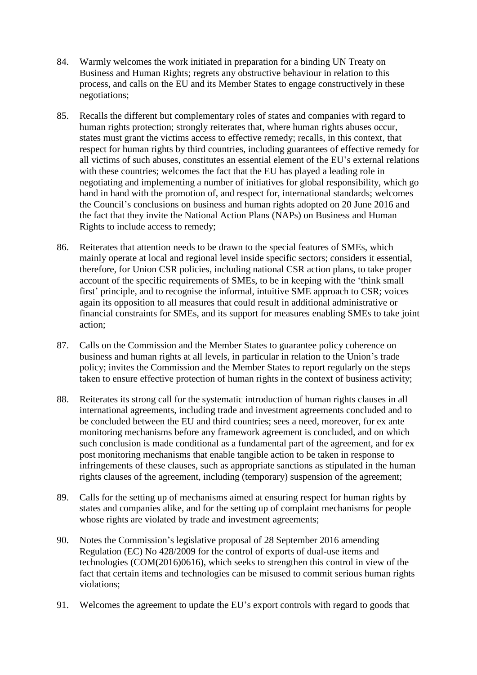- 84. Warmly welcomes the work initiated in preparation for a binding UN Treaty on Business and Human Rights; regrets any obstructive behaviour in relation to this process, and calls on the EU and its Member States to engage constructively in these negotiations;
- 85. Recalls the different but complementary roles of states and companies with regard to human rights protection; strongly reiterates that, where human rights abuses occur, states must grant the victims access to effective remedy; recalls, in this context, that respect for human rights by third countries, including guarantees of effective remedy for all victims of such abuses, constitutes an essential element of the EU's external relations with these countries; welcomes the fact that the EU has played a leading role in negotiating and implementing a number of initiatives for global responsibility, which go hand in hand with the promotion of, and respect for, international standards; welcomes the Council's conclusions on business and human rights adopted on 20 June 2016 and the fact that they invite the National Action Plans (NAPs) on Business and Human Rights to include access to remedy;
- 86. Reiterates that attention needs to be drawn to the special features of SMEs, which mainly operate at local and regional level inside specific sectors; considers it essential, therefore, for Union CSR policies, including national CSR action plans, to take proper account of the specific requirements of SMEs, to be in keeping with the 'think small first' principle, and to recognise the informal, intuitive SME approach to CSR; voices again its opposition to all measures that could result in additional administrative or financial constraints for SMEs, and its support for measures enabling SMEs to take joint action;
- 87. Calls on the Commission and the Member States to guarantee policy coherence on business and human rights at all levels, in particular in relation to the Union's trade policy; invites the Commission and the Member States to report regularly on the steps taken to ensure effective protection of human rights in the context of business activity;
- 88. Reiterates its strong call for the systematic introduction of human rights clauses in all international agreements, including trade and investment agreements concluded and to be concluded between the EU and third countries; sees a need, moreover, for ex ante monitoring mechanisms before any framework agreement is concluded, and on which such conclusion is made conditional as a fundamental part of the agreement, and for ex post monitoring mechanisms that enable tangible action to be taken in response to infringements of these clauses, such as appropriate sanctions as stipulated in the human rights clauses of the agreement, including (temporary) suspension of the agreement;
- 89. Calls for the setting up of mechanisms aimed at ensuring respect for human rights by states and companies alike, and for the setting up of complaint mechanisms for people whose rights are violated by trade and investment agreements;
- 90. Notes the Commission's legislative proposal of 28 September 2016 amending Regulation (EC) No 428/2009 for the control of exports of dual-use items and technologies ( $COM(2016)0616$ ), which seeks to strengthen this control in view of the fact that certain items and technologies can be misused to commit serious human rights violations;
- 91. Welcomes the agreement to update the EU's export controls with regard to goods that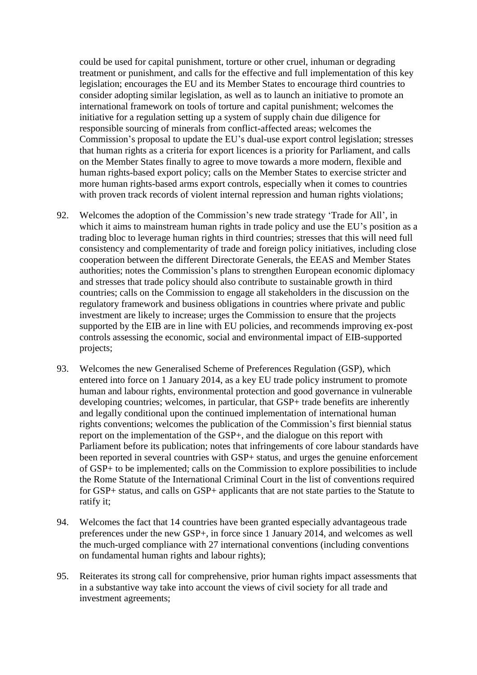could be used for capital punishment, torture or other cruel, inhuman or degrading treatment or punishment, and calls for the effective and full implementation of this key legislation; encourages the EU and its Member States to encourage third countries to consider adopting similar legislation, as well as to launch an initiative to promote an international framework on tools of torture and capital punishment; welcomes the initiative for a regulation setting up a system of supply chain due diligence for responsible sourcing of minerals from conflict-affected areas; welcomes the Commission's proposal to update the EU's dual-use export control legislation; stresses that human rights as a criteria for export licences is a priority for Parliament, and calls on the Member States finally to agree to move towards a more modern, flexible and human rights-based export policy; calls on the Member States to exercise stricter and more human rights-based arms export controls, especially when it comes to countries with proven track records of violent internal repression and human rights violations;

- 92. Welcomes the adoption of the Commission's new trade strategy 'Trade for All', in which it aims to mainstream human rights in trade policy and use the EU's position as a trading bloc to leverage human rights in third countries; stresses that this will need full consistency and complementarity of trade and foreign policy initiatives, including close cooperation between the different Directorate Generals, the EEAS and Member States authorities; notes the Commission's plans to strengthen European economic diplomacy and stresses that trade policy should also contribute to sustainable growth in third countries; calls on the Commission to engage all stakeholders in the discussion on the regulatory framework and business obligations in countries where private and public investment are likely to increase; urges the Commission to ensure that the projects supported by the EIB are in line with EU policies, and recommends improving ex-post controls assessing the economic, social and environmental impact of EIB-supported projects;
- 93. Welcomes the new Generalised Scheme of Preferences Regulation (GSP), which entered into force on 1 January 2014, as a key EU trade policy instrument to promote human and labour rights, environmental protection and good governance in vulnerable developing countries; welcomes, in particular, that GSP+ trade benefits are inherently and legally conditional upon the continued implementation of international human rights conventions; welcomes the publication of the Commission's first biennial status report on the implementation of the GSP+, and the dialogue on this report with Parliament before its publication; notes that infringements of core labour standards have been reported in several countries with GSP+ status, and urges the genuine enforcement of GSP+ to be implemented; calls on the Commission to explore possibilities to include the Rome Statute of the International Criminal Court in the list of conventions required for GSP+ status, and calls on GSP+ applicants that are not state parties to the Statute to ratify it;
- 94. Welcomes the fact that 14 countries have been granted especially advantageous trade preferences under the new GSP+, in force since 1 January 2014, and welcomes as well the much-urged compliance with 27 international conventions (including conventions on fundamental human rights and labour rights);
- 95. Reiterates its strong call for comprehensive, prior human rights impact assessments that in a substantive way take into account the views of civil society for all trade and investment agreements;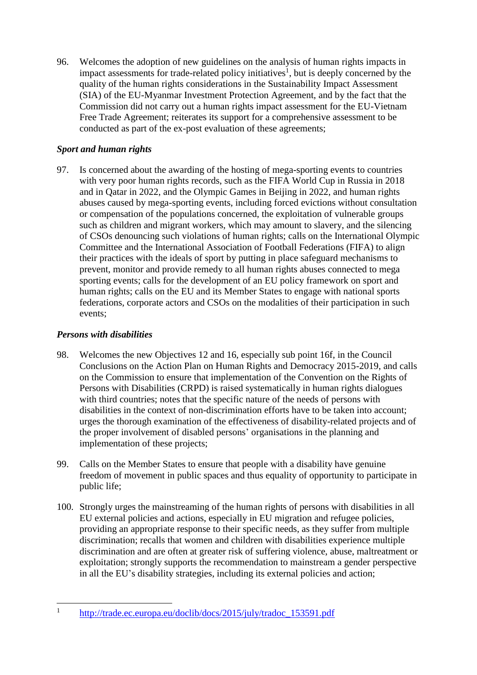96. Welcomes the adoption of new guidelines on the analysis of human rights impacts in impact assessments for trade-related policy initiatives<sup>1</sup>, but is deeply concerned by the quality of the human rights considerations in the Sustainability Impact Assessment (SIA) of the EU-Myanmar Investment Protection Agreement, and by the fact that the Commission did not carry out a human rights impact assessment for the EU-Vietnam Free Trade Agreement; reiterates its support for a comprehensive assessment to be conducted as part of the ex-post evaluation of these agreements;

## *Sport and human rights*

97. Is concerned about the awarding of the hosting of mega-sporting events to countries with very poor human rights records, such as the FIFA World Cup in Russia in 2018 and in Qatar in 2022, and the Olympic Games in Beijing in 2022, and human rights abuses caused by mega-sporting events, including forced evictions without consultation or compensation of the populations concerned, the exploitation of vulnerable groups such as children and migrant workers, which may amount to slavery, and the silencing of CSOs denouncing such violations of human rights; calls on the International Olympic Committee and the International Association of Football Federations (FIFA) to align their practices with the ideals of sport by putting in place safeguard mechanisms to prevent, monitor and provide remedy to all human rights abuses connected to mega sporting events; calls for the development of an EU policy framework on sport and human rights; calls on the EU and its Member States to engage with national sports federations, corporate actors and CSOs on the modalities of their participation in such events;

## *Persons with disabilities*

- 98. Welcomes the new Objectives 12 and 16, especially sub point 16f, in the Council Conclusions on the Action Plan on Human Rights and Democracy 2015-2019, and calls on the Commission to ensure that implementation of the Convention on the Rights of Persons with Disabilities (CRPD) is raised systematically in human rights dialogues with third countries; notes that the specific nature of the needs of persons with disabilities in the context of non-discrimination efforts have to be taken into account; urges the thorough examination of the effectiveness of disability-related projects and of the proper involvement of disabled persons' organisations in the planning and implementation of these projects;
- 99. Calls on the Member States to ensure that people with a disability have genuine freedom of movement in public spaces and thus equality of opportunity to participate in public life;
- 100. Strongly urges the mainstreaming of the human rights of persons with disabilities in all EU external policies and actions, especially in EU migration and refugee policies, providing an appropriate response to their specific needs, as they suffer from multiple discrimination; recalls that women and children with disabilities experience multiple discrimination and are often at greater risk of suffering violence, abuse, maltreatment or exploitation; strongly supports the recommendation to mainstream a gender perspective in all the EU's disability strategies, including its external policies and action;

 $\overline{a}$ 1 [http://trade.ec.europa.eu/doclib/docs/2015/july/tradoc\\_153591.pdf](http://trade.ec.europa.eu/doclib/docs/2015/july/tradoc_153591.pdf)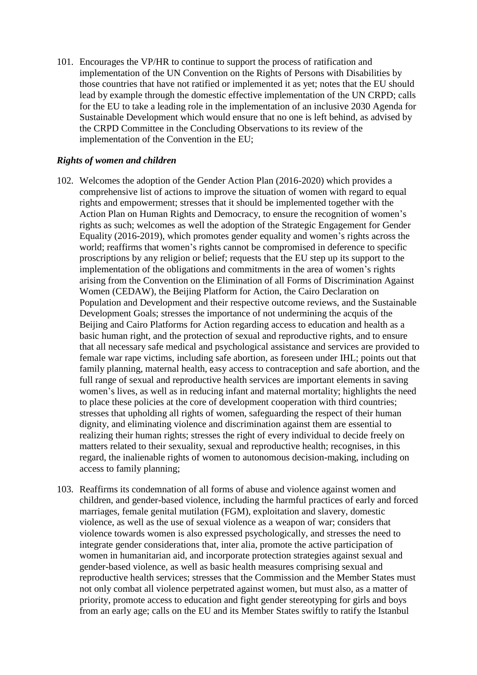101. Encourages the VP/HR to continue to support the process of ratification and implementation of the UN Convention on the Rights of Persons with Disabilities by those countries that have not ratified or implemented it as yet; notes that the EU should lead by example through the domestic effective implementation of the UN CRPD; calls for the EU to take a leading role in the implementation of an inclusive 2030 Agenda for Sustainable Development which would ensure that no one is left behind, as advised by the CRPD Committee in the Concluding Observations to its review of the implementation of the Convention in the EU;

### *Rights of women and children*

- 102. Welcomes the adoption of the Gender Action Plan (2016-2020) which provides a comprehensive list of actions to improve the situation of women with regard to equal rights and empowerment; stresses that it should be implemented together with the Action Plan on Human Rights and Democracy, to ensure the recognition of women's rights as such; welcomes as well the adoption of the Strategic Engagement for Gender Equality (2016-2019), which promotes gender equality and women's rights across the world; reaffirms that women's rights cannot be compromised in deference to specific proscriptions by any religion or belief; requests that the EU step up its support to the implementation of the obligations and commitments in the area of women's rights arising from the Convention on the Elimination of all Forms of Discrimination Against Women (CEDAW), the Beijing Platform for Action, the Cairo Declaration on Population and Development and their respective outcome reviews, and the Sustainable Development Goals; stresses the importance of not undermining the acquis of the Beijing and Cairo Platforms for Action regarding access to education and health as a basic human right, and the protection of sexual and reproductive rights, and to ensure that all necessary safe medical and psychological assistance and services are provided to female war rape victims, including safe abortion, as foreseen under IHL; points out that family planning, maternal health, easy access to contraception and safe abortion, and the full range of sexual and reproductive health services are important elements in saving women's lives, as well as in reducing infant and maternal mortality; highlights the need to place these policies at the core of development cooperation with third countries; stresses that upholding all rights of women, safeguarding the respect of their human dignity, and eliminating violence and discrimination against them are essential to realizing their human rights; stresses the right of every individual to decide freely on matters related to their sexuality, sexual and reproductive health; recognises, in this regard, the inalienable rights of women to autonomous decision-making, including on access to family planning;
- 103. Reaffirms its condemnation of all forms of abuse and violence against women and children, and gender-based violence, including the harmful practices of early and forced marriages, female genital mutilation (FGM), exploitation and slavery, domestic violence, as well as the use of sexual violence as a weapon of war; considers that violence towards women is also expressed psychologically, and stresses the need to integrate gender considerations that, inter alia, promote the active participation of women in humanitarian aid, and incorporate protection strategies against sexual and gender-based violence, as well as basic health measures comprising sexual and reproductive health services; stresses that the Commission and the Member States must not only combat all violence perpetrated against women, but must also, as a matter of priority, promote access to education and fight gender stereotyping for girls and boys from an early age; calls on the EU and its Member States swiftly to ratify the Istanbul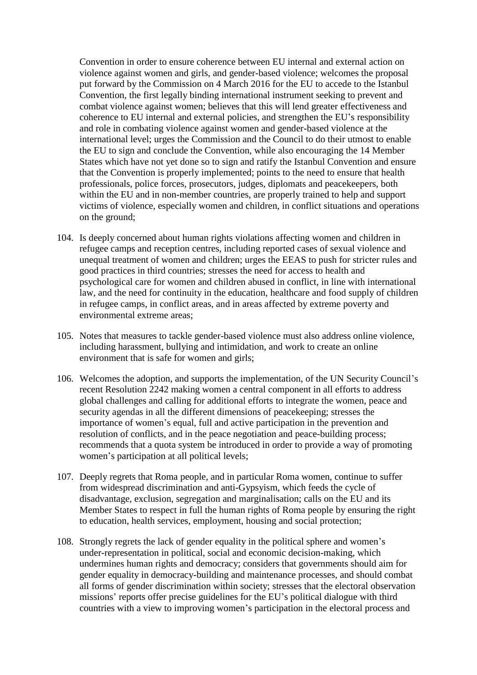Convention in order to ensure coherence between EU internal and external action on violence against women and girls, and gender-based violence; welcomes the proposal put forward by the Commission on 4 March 2016 for the EU to accede to the Istanbul Convention, the first legally binding international instrument seeking to prevent and combat violence against women; believes that this will lend greater effectiveness and coherence to EU internal and external policies, and strengthen the EU's responsibility and role in combating violence against women and gender-based violence at the international level; urges the Commission and the Council to do their utmost to enable the EU to sign and conclude the Convention, while also encouraging the 14 Member States which have not yet done so to sign and ratify the Istanbul Convention and ensure that the Convention is properly implemented; points to the need to ensure that health professionals, police forces, prosecutors, judges, diplomats and peacekeepers, both within the EU and in non-member countries, are properly trained to help and support victims of violence, especially women and children, in conflict situations and operations on the ground;

- 104. Is deeply concerned about human rights violations affecting women and children in refugee camps and reception centres, including reported cases of sexual violence and unequal treatment of women and children; urges the EEAS to push for stricter rules and good practices in third countries; stresses the need for access to health and psychological care for women and children abused in conflict, in line with international law, and the need for continuity in the education, healthcare and food supply of children in refugee camps, in conflict areas, and in areas affected by extreme poverty and environmental extreme areas;
- 105. Notes that measures to tackle gender-based violence must also address online violence, including harassment, bullying and intimidation, and work to create an online environment that is safe for women and girls;
- 106. Welcomes the adoption, and supports the implementation, of the UN Security Council's recent Resolution 2242 making women a central component in all efforts to address global challenges and calling for additional efforts to integrate the women, peace and security agendas in all the different dimensions of peacekeeping; stresses the importance of women's equal, full and active participation in the prevention and resolution of conflicts, and in the peace negotiation and peace-building process; recommends that a quota system be introduced in order to provide a way of promoting women's participation at all political levels;
- 107. Deeply regrets that Roma people, and in particular Roma women, continue to suffer from widespread discrimination and anti-Gypsyism, which feeds the cycle of disadvantage, exclusion, segregation and marginalisation; calls on the EU and its Member States to respect in full the human rights of Roma people by ensuring the right to education, health services, employment, housing and social protection;
- 108. Strongly regrets the lack of gender equality in the political sphere and women's under-representation in political, social and economic decision-making, which undermines human rights and democracy; considers that governments should aim for gender equality in democracy-building and maintenance processes, and should combat all forms of gender discrimination within society; stresses that the electoral observation missions' reports offer precise guidelines for the EU's political dialogue with third countries with a view to improving women's participation in the electoral process and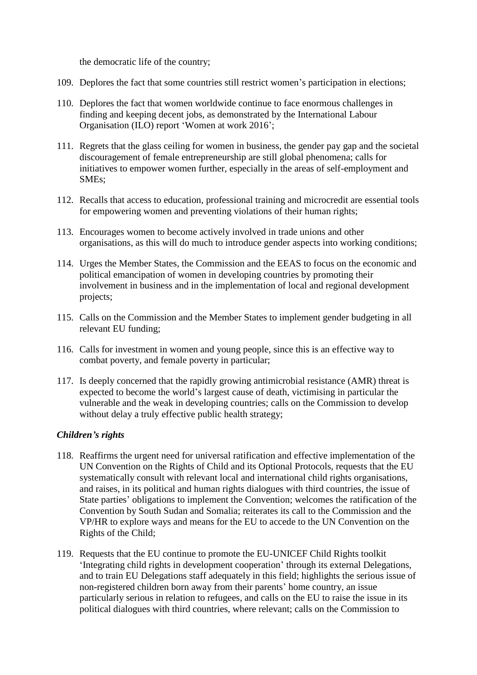the democratic life of the country;

- 109. Deplores the fact that some countries still restrict women's participation in elections;
- 110. Deplores the fact that women worldwide continue to face enormous challenges in finding and keeping decent jobs, as demonstrated by the International Labour Organisation (ILO) report 'Women at work 2016';
- 111. Regrets that the glass ceiling for women in business, the gender pay gap and the societal discouragement of female entrepreneurship are still global phenomena; calls for initiatives to empower women further, especially in the areas of self-employment and SMEs;
- 112. Recalls that access to education, professional training and microcredit are essential tools for empowering women and preventing violations of their human rights;
- 113. Encourages women to become actively involved in trade unions and other organisations, as this will do much to introduce gender aspects into working conditions;
- 114. Urges the Member States, the Commission and the EEAS to focus on the economic and political emancipation of women in developing countries by promoting their involvement in business and in the implementation of local and regional development projects;
- 115. Calls on the Commission and the Member States to implement gender budgeting in all relevant EU funding;
- 116. Calls for investment in women and young people, since this is an effective way to combat poverty, and female poverty in particular;
- 117. Is deeply concerned that the rapidly growing antimicrobial resistance (AMR) threat is expected to become the world's largest cause of death, victimising in particular the vulnerable and the weak in developing countries; calls on the Commission to develop without delay a truly effective public health strategy;

### *Children's rights*

- 118. Reaffirms the urgent need for universal ratification and effective implementation of the UN Convention on the Rights of Child and its Optional Protocols, requests that the EU systematically consult with relevant local and international child rights organisations, and raises, in its political and human rights dialogues with third countries, the issue of State parties' obligations to implement the Convention; welcomes the ratification of the Convention by South Sudan and Somalia; reiterates its call to the Commission and the VP/HR to explore ways and means for the EU to accede to the UN Convention on the Rights of the Child;
- 119. Requests that the EU continue to promote the EU-UNICEF Child Rights toolkit 'Integrating child rights in development cooperation' through its external Delegations, and to train EU Delegations staff adequately in this field; highlights the serious issue of non-registered children born away from their parents' home country, an issue particularly serious in relation to refugees, and calls on the EU to raise the issue in its political dialogues with third countries, where relevant; calls on the Commission to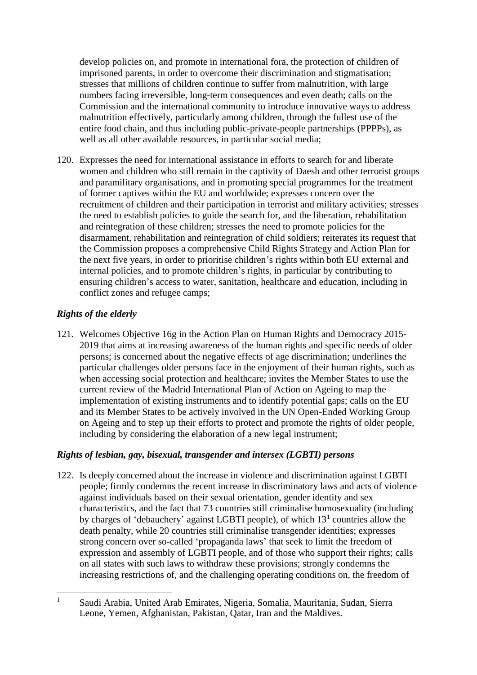develop policies on, and promote in international fora, the protection of children of imprisoned parents, in order to overcome their discrimination and stigmatisation; stresses that millions of children continue to suffer from malnutrition, with large numbers facing irreversible, long-term consequences and even death; calls on the Commission and the international community to introduce innovative ways to address malnutrition effectively, particularly among children, through the fullest use of the entire food chain, and thus including public-private-people partnerships (PPPPs), as well as all other available resources, in particular social media;

120. Expresses the need for international assistance in efforts to search for and liberate women and children who still remain in the captivity of Daesh and other terrorist groups and paramilitary organisations, and in promoting special programmes for the treatment of former captives within the EU and worldwide; expresses concern over the recruitment of children and their participation in terrorist and military activities; stresses the need to establish policies to guide the search for, and the liberation, rehabilitation and reintegration of these children; stresses the need to promote policies for the disarmament, rehabilitation and reintegration of child soldiers; reiterates its request that the Commission proposes a comprehensive Child Rights Strategy and Action Plan for the next five years, in order to prioritise children's rights within both EU external and internal policies, and to promote children's rights, in particular by contributing to ensuring children's access to water, sanitation, healthcare and education, including in conflict zones and refugee camps;

## *Rights of the elderly*

121. Welcomes Objective 16g in the Action Plan on Human Rights and Democracy 2015- 2019 that aims at increasing awareness of the human rights and specific needs of older persons; is concerned about the negative effects of age discrimination; underlines the particular challenges older persons face in the enjoyment of their human rights, such as when accessing social protection and healthcare; invites the Member States to use the current review of the Madrid International Plan of Action on Ageing to map the implementation of existing instruments and to identify potential gaps; calls on the EU and its Member States to be actively involved in the UN Open-Ended Working Group on Ageing and to step up their efforts to protect and promote the rights of older people, including by considering the elaboration of a new legal instrument;

## *Rights of lesbian, gay, bisexual, transgender and intersex (LGBTI) persons*

122. Is deeply concerned about the increase in violence and discrimination against LGBTI people; firmly condemns the recent increase in discriminatory laws and acts of violence against individuals based on their sexual orientation, gender identity and sex characteristics, and the fact that 73 countries still criminalise homosexuality (including by charges of 'debauchery' against LGBTI people), of which  $13<sup>1</sup>$  countries allow the death penalty, while 20 countries still criminalise transgender identities; expresses strong concern over so-called 'propaganda laws' that seek to limit the freedom of expression and assembly of LGBTI people, and of those who support their rights; calls on all states with such laws to withdraw these provisions; strongly condemns the increasing restrictions of, and the challenging operating conditions on, the freedom of

 $\mathbf{1}$ <sup>1</sup> Saudi Arabia, United Arab Emirates, Nigeria, Somalia, Mauritania, Sudan, Sierra Leone, Yemen, Afghanistan, Pakistan, Qatar, Iran and the Maldives.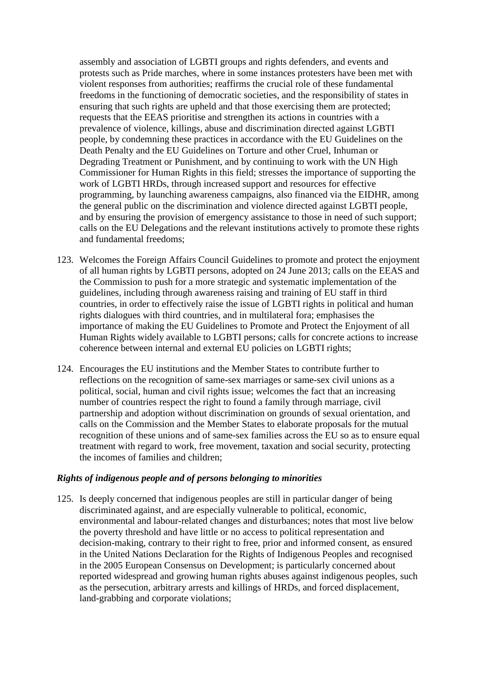assembly and association of LGBTI groups and rights defenders, and events and protests such as Pride marches, where in some instances protesters have been met with violent responses from authorities; reaffirms the crucial role of these fundamental freedoms in the functioning of democratic societies, and the responsibility of states in ensuring that such rights are upheld and that those exercising them are protected; requests that the EEAS prioritise and strengthen its actions in countries with a prevalence of violence, killings, abuse and discrimination directed against LGBTI people, by condemning these practices in accordance with the EU Guidelines on the Death Penalty and the EU Guidelines on Torture and other Cruel, Inhuman or Degrading Treatment or Punishment, and by continuing to work with the UN High Commissioner for Human Rights in this field; stresses the importance of supporting the work of LGBTI HRDs, through increased support and resources for effective programming, by launching awareness campaigns, also financed via the EIDHR, among the general public on the discrimination and violence directed against LGBTI people, and by ensuring the provision of emergency assistance to those in need of such support; calls on the EU Delegations and the relevant institutions actively to promote these rights and fundamental freedoms;

- 123. Welcomes the Foreign Affairs Council Guidelines to promote and protect the enjoyment of all human rights by LGBTI persons, adopted on 24 June 2013; calls on the EEAS and the Commission to push for a more strategic and systematic implementation of the guidelines, including through awareness raising and training of EU staff in third countries, in order to effectively raise the issue of LGBTI rights in political and human rights dialogues with third countries, and in multilateral fora; emphasises the importance of making the EU Guidelines to Promote and Protect the Enjoyment of all Human Rights widely available to LGBTI persons; calls for concrete actions to increase coherence between internal and external EU policies on LGBTI rights;
- 124. Encourages the EU institutions and the Member States to contribute further to reflections on the recognition of same-sex marriages or same-sex civil unions as a political, social, human and civil rights issue; welcomes the fact that an increasing number of countries respect the right to found a family through marriage, civil partnership and adoption without discrimination on grounds of sexual orientation, and calls on the Commission and the Member States to elaborate proposals for the mutual recognition of these unions and of same-sex families across the EU so as to ensure equal treatment with regard to work, free movement, taxation and social security, protecting the incomes of families and children;

### *Rights of indigenous people and of persons belonging to minorities*

125. Is deeply concerned that indigenous peoples are still in particular danger of being discriminated against, and are especially vulnerable to political, economic, environmental and labour-related changes and disturbances; notes that most live below the poverty threshold and have little or no access to political representation and decision-making, contrary to their right to free, prior and informed consent, as ensured in the United Nations Declaration for the Rights of Indigenous Peoples and recognised in the 2005 European Consensus on Development; is particularly concerned about reported widespread and growing human rights abuses against indigenous peoples, such as the persecution, arbitrary arrests and killings of HRDs, and forced displacement, land-grabbing and corporate violations;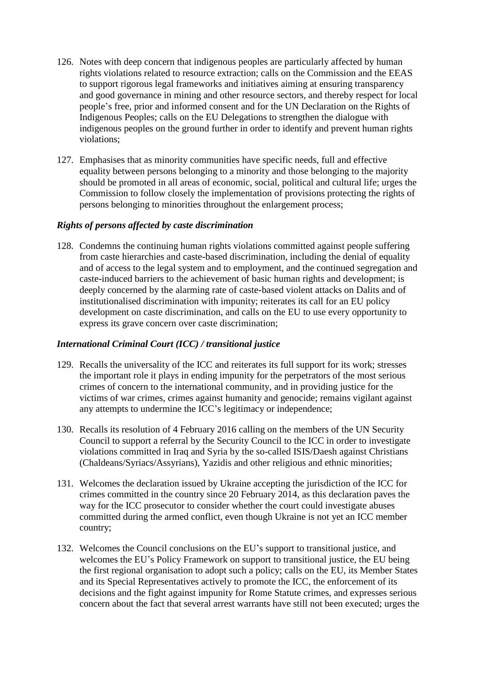- 126. Notes with deep concern that indigenous peoples are particularly affected by human rights violations related to resource extraction; calls on the Commission and the EEAS to support rigorous legal frameworks and initiatives aiming at ensuring transparency and good governance in mining and other resource sectors, and thereby respect for local people's free, prior and informed consent and for the UN Declaration on the Rights of Indigenous Peoples; calls on the EU Delegations to strengthen the dialogue with indigenous peoples on the ground further in order to identify and prevent human rights violations;
- 127. Emphasises that as minority communities have specific needs, full and effective equality between persons belonging to a minority and those belonging to the majority should be promoted in all areas of economic, social, political and cultural life; urges the Commission to follow closely the implementation of provisions protecting the rights of persons belonging to minorities throughout the enlargement process;

### *Rights of persons affected by caste discrimination*

128. Condemns the continuing human rights violations committed against people suffering from caste hierarchies and caste-based discrimination, including the denial of equality and of access to the legal system and to employment, and the continued segregation and caste-induced barriers to the achievement of basic human rights and development; is deeply concerned by the alarming rate of caste-based violent attacks on Dalits and of institutionalised discrimination with impunity; reiterates its call for an EU policy development on caste discrimination, and calls on the EU to use every opportunity to express its grave concern over caste discrimination;

### *International Criminal Court (ICC) / transitional justice*

- 129. Recalls the universality of the ICC and reiterates its full support for its work; stresses the important role it plays in ending impunity for the perpetrators of the most serious crimes of concern to the international community, and in providing justice for the victims of war crimes, crimes against humanity and genocide; remains vigilant against any attempts to undermine the ICC's legitimacy or independence;
- 130. Recalls its resolution of 4 February 2016 calling on the members of the UN Security Council to support a referral by the Security Council to the ICC in order to investigate violations committed in Iraq and Syria by the so-called ISIS/Daesh against Christians (Chaldeans/Syriacs/Assyrians), Yazidis and other religious and ethnic minorities;
- 131. Welcomes the declaration issued by Ukraine accepting the jurisdiction of the ICC for crimes committed in the country since 20 February 2014, as this declaration paves the way for the ICC prosecutor to consider whether the court could investigate abuses committed during the armed conflict, even though Ukraine is not yet an ICC member country;
- 132. Welcomes the Council conclusions on the EU's support to transitional justice, and welcomes the EU's Policy Framework on support to transitional justice, the EU being the first regional organisation to adopt such a policy; calls on the EU, its Member States and its Special Representatives actively to promote the ICC, the enforcement of its decisions and the fight against impunity for Rome Statute crimes, and expresses serious concern about the fact that several arrest warrants have still not been executed; urges the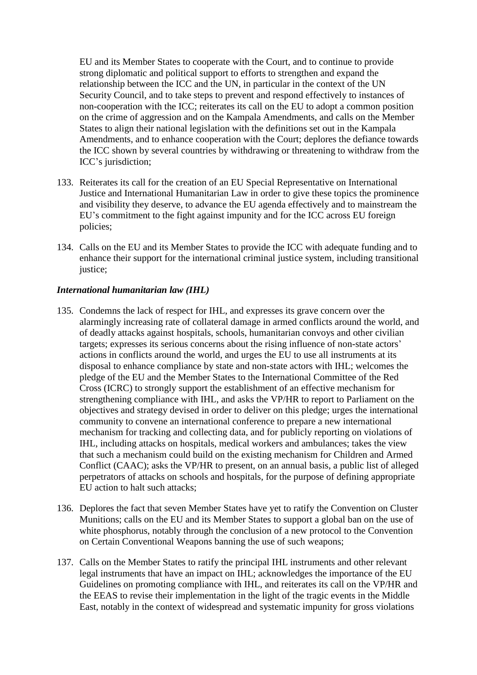EU and its Member States to cooperate with the Court, and to continue to provide strong diplomatic and political support to efforts to strengthen and expand the relationship between the ICC and the UN, in particular in the context of the UN Security Council, and to take steps to prevent and respond effectively to instances of non-cooperation with the ICC; reiterates its call on the EU to adopt a common position on the crime of aggression and on the Kampala Amendments, and calls on the Member States to align their national legislation with the definitions set out in the Kampala Amendments, and to enhance cooperation with the Court; deplores the defiance towards the ICC shown by several countries by withdrawing or threatening to withdraw from the ICC's jurisdiction;

- 133. Reiterates its call for the creation of an EU Special Representative on International Justice and International Humanitarian Law in order to give these topics the prominence and visibility they deserve, to advance the EU agenda effectively and to mainstream the EU's commitment to the fight against impunity and for the ICC across EU foreign policies;
- 134. Calls on the EU and its Member States to provide the ICC with adequate funding and to enhance their support for the international criminal justice system, including transitional justice:

## *International humanitarian law (IHL)*

- 135. Condemns the lack of respect for IHL, and expresses its grave concern over the alarmingly increasing rate of collateral damage in armed conflicts around the world, and of deadly attacks against hospitals, schools, humanitarian convoys and other civilian targets; expresses its serious concerns about the rising influence of non-state actors' actions in conflicts around the world, and urges the EU to use all instruments at its disposal to enhance compliance by state and non-state actors with IHL; welcomes the pledge of the EU and the Member States to the International Committee of the Red Cross (ICRC) to strongly support the establishment of an effective mechanism for strengthening compliance with IHL, and asks the VP/HR to report to Parliament on the objectives and strategy devised in order to deliver on this pledge; urges the international community to convene an international conference to prepare a new international mechanism for tracking and collecting data, and for publicly reporting on violations of IHL, including attacks on hospitals, medical workers and ambulances; takes the view that such a mechanism could build on the existing mechanism for Children and Armed Conflict (CAAC); asks the VP/HR to present, on an annual basis, a public list of alleged perpetrators of attacks on schools and hospitals, for the purpose of defining appropriate EU action to halt such attacks;
- 136. Deplores the fact that seven Member States have yet to ratify the Convention on Cluster Munitions; calls on the EU and its Member States to support a global ban on the use of white phosphorus, notably through the conclusion of a new protocol to the Convention on Certain Conventional Weapons banning the use of such weapons;
- 137. Calls on the Member States to ratify the principal IHL instruments and other relevant legal instruments that have an impact on IHL; acknowledges the importance of the EU Guidelines on promoting compliance with IHL, and reiterates its call on the VP/HR and the EEAS to revise their implementation in the light of the tragic events in the Middle East, notably in the context of widespread and systematic impunity for gross violations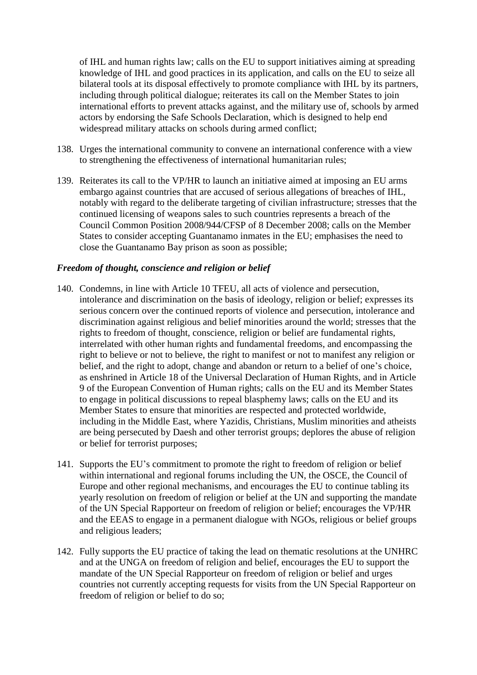of IHL and human rights law; calls on the EU to support initiatives aiming at spreading knowledge of IHL and good practices in its application, and calls on the EU to seize all bilateral tools at its disposal effectively to promote compliance with IHL by its partners, including through political dialogue; reiterates its call on the Member States to join international efforts to prevent attacks against, and the military use of, schools by armed actors by endorsing the Safe Schools Declaration, which is designed to help end widespread military attacks on schools during armed conflict;

- 138. Urges the international community to convene an international conference with a view to strengthening the effectiveness of international humanitarian rules;
- 139. Reiterates its call to the VP/HR to launch an initiative aimed at imposing an EU arms embargo against countries that are accused of serious allegations of breaches of IHL, notably with regard to the deliberate targeting of civilian infrastructure; stresses that the continued licensing of weapons sales to such countries represents a breach of the Council Common Position 2008/944/CFSP of 8 December 2008; calls on the Member States to consider accepting Guantanamo inmates in the EU; emphasises the need to close the Guantanamo Bay prison as soon as possible;

### *Freedom of thought, conscience and religion or belief*

- 140. Condemns, in line with Article 10 TFEU, all acts of violence and persecution, intolerance and discrimination on the basis of ideology, religion or belief; expresses its serious concern over the continued reports of violence and persecution, intolerance and discrimination against religious and belief minorities around the world; stresses that the rights to freedom of thought, conscience, religion or belief are fundamental rights, interrelated with other human rights and fundamental freedoms, and encompassing the right to believe or not to believe, the right to manifest or not to manifest any religion or belief, and the right to adopt, change and abandon or return to a belief of one's choice, as enshrined in Article 18 of the Universal Declaration of Human Rights, and in Article 9 of the European Convention of Human rights; calls on the EU and its Member States to engage in political discussions to repeal blasphemy laws; calls on the EU and its Member States to ensure that minorities are respected and protected worldwide, including in the Middle East, where Yazidis, Christians, Muslim minorities and atheists are being persecuted by Daesh and other terrorist groups; deplores the abuse of religion or belief for terrorist purposes;
- 141. Supports the EU's commitment to promote the right to freedom of religion or belief within international and regional forums including the UN, the OSCE, the Council of Europe and other regional mechanisms, and encourages the EU to continue tabling its yearly resolution on freedom of religion or belief at the UN and supporting the mandate of the UN Special Rapporteur on freedom of religion or belief; encourages the VP/HR and the EEAS to engage in a permanent dialogue with NGOs, religious or belief groups and religious leaders;
- 142. Fully supports the EU practice of taking the lead on thematic resolutions at the UNHRC and at the UNGA on freedom of religion and belief, encourages the EU to support the mandate of the UN Special Rapporteur on freedom of religion or belief and urges countries not currently accepting requests for visits from the UN Special Rapporteur on freedom of religion or belief to do so;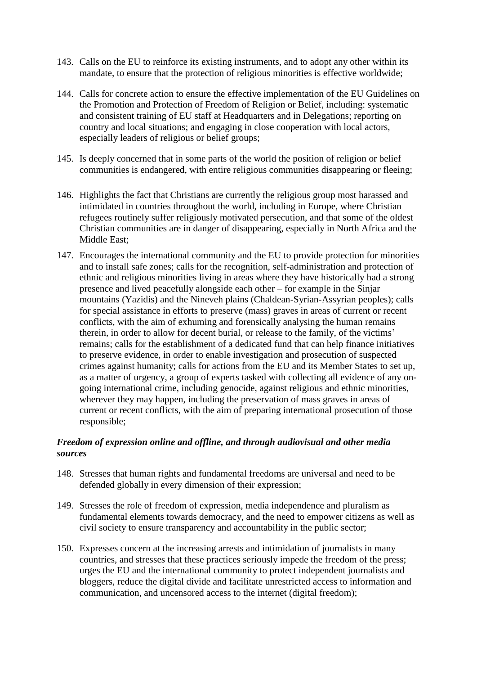- 143. Calls on the EU to reinforce its existing instruments, and to adopt any other within its mandate, to ensure that the protection of religious minorities is effective worldwide;
- 144. Calls for concrete action to ensure the effective implementation of the EU Guidelines on the Promotion and Protection of Freedom of Religion or Belief, including: systematic and consistent training of EU staff at Headquarters and in Delegations; reporting on country and local situations; and engaging in close cooperation with local actors, especially leaders of religious or belief groups;
- 145. Is deeply concerned that in some parts of the world the position of religion or belief communities is endangered, with entire religious communities disappearing or fleeing;
- 146. Highlights the fact that Christians are currently the religious group most harassed and intimidated in countries throughout the world, including in Europe, where Christian refugees routinely suffer religiously motivated persecution, and that some of the oldest Christian communities are in danger of disappearing, especially in North Africa and the Middle East;
- 147. Encourages the international community and the EU to provide protection for minorities and to install safe zones; calls for the recognition, self-administration and protection of ethnic and religious minorities living in areas where they have historically had a strong presence and lived peacefully alongside each other – for example in the Sinjar mountains (Yazidis) and the Nineveh plains (Chaldean-Syrian-Assyrian peoples); calls for special assistance in efforts to preserve (mass) graves in areas of current or recent conflicts, with the aim of exhuming and forensically analysing the human remains therein, in order to allow for decent burial, or release to the family, of the victims' remains; calls for the establishment of a dedicated fund that can help finance initiatives to preserve evidence, in order to enable investigation and prosecution of suspected crimes against humanity; calls for actions from the EU and its Member States to set up, as a matter of urgency, a group of experts tasked with collecting all evidence of any ongoing international crime, including genocide, against religious and ethnic minorities, wherever they may happen, including the preservation of mass graves in areas of current or recent conflicts, with the aim of preparing international prosecution of those responsible;

## *Freedom of expression online and offline, and through audiovisual and other media sources*

- 148. Stresses that human rights and fundamental freedoms are universal and need to be defended globally in every dimension of their expression;
- 149. Stresses the role of freedom of expression, media independence and pluralism as fundamental elements towards democracy, and the need to empower citizens as well as civil society to ensure transparency and accountability in the public sector;
- 150. Expresses concern at the increasing arrests and intimidation of journalists in many countries, and stresses that these practices seriously impede the freedom of the press; urges the EU and the international community to protect independent journalists and bloggers, reduce the digital divide and facilitate unrestricted access to information and communication, and uncensored access to the internet (digital freedom);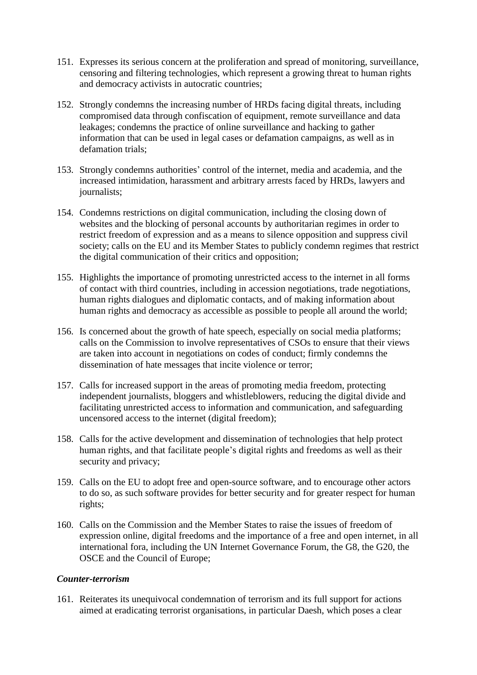- 151. Expresses its serious concern at the proliferation and spread of monitoring, surveillance, censoring and filtering technologies, which represent a growing threat to human rights and democracy activists in autocratic countries;
- 152. Strongly condemns the increasing number of HRDs facing digital threats, including compromised data through confiscation of equipment, remote surveillance and data leakages; condemns the practice of online surveillance and hacking to gather information that can be used in legal cases or defamation campaigns, as well as in defamation trials;
- 153. Strongly condemns authorities' control of the internet, media and academia, and the increased intimidation, harassment and arbitrary arrests faced by HRDs, lawyers and journalists;
- 154. Condemns restrictions on digital communication, including the closing down of websites and the blocking of personal accounts by authoritarian regimes in order to restrict freedom of expression and as a means to silence opposition and suppress civil society; calls on the EU and its Member States to publicly condemn regimes that restrict the digital communication of their critics and opposition;
- 155. Highlights the importance of promoting unrestricted access to the internet in all forms of contact with third countries, including in accession negotiations, trade negotiations, human rights dialogues and diplomatic contacts, and of making information about human rights and democracy as accessible as possible to people all around the world;
- 156. Is concerned about the growth of hate speech, especially on social media platforms; calls on the Commission to involve representatives of CSOs to ensure that their views are taken into account in negotiations on codes of conduct; firmly condemns the dissemination of hate messages that incite violence or terror;
- 157. Calls for increased support in the areas of promoting media freedom, protecting independent journalists, bloggers and whistleblowers, reducing the digital divide and facilitating unrestricted access to information and communication, and safeguarding uncensored access to the internet (digital freedom);
- 158. Calls for the active development and dissemination of technologies that help protect human rights, and that facilitate people's digital rights and freedoms as well as their security and privacy;
- 159. Calls on the EU to adopt free and open-source software, and to encourage other actors to do so, as such software provides for better security and for greater respect for human rights;
- 160. Calls on the Commission and the Member States to raise the issues of freedom of expression online, digital freedoms and the importance of a free and open internet, in all international fora, including the UN Internet Governance Forum, the G8, the G20, the OSCE and the Council of Europe;

### *Counter-terrorism*

161. Reiterates its unequivocal condemnation of terrorism and its full support for actions aimed at eradicating terrorist organisations, in particular Daesh, which poses a clear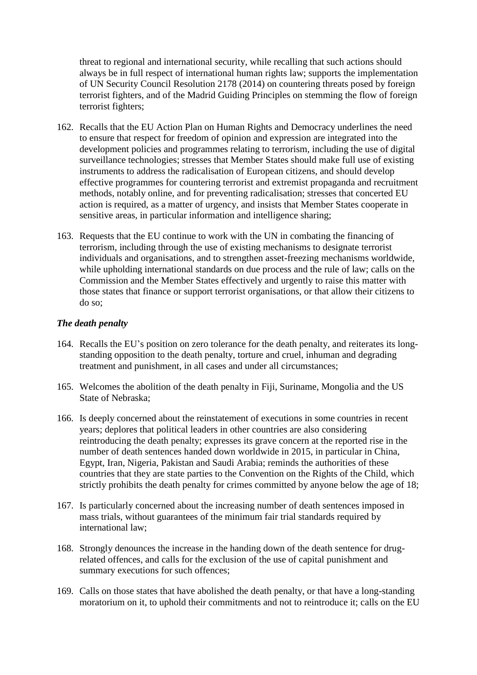threat to regional and international security, while recalling that such actions should always be in full respect of international human rights law; supports the implementation of UN Security Council Resolution 2178 (2014) on countering threats posed by foreign terrorist fighters, and of the Madrid Guiding Principles on stemming the flow of foreign terrorist fighters;

- 162. Recalls that the EU Action Plan on Human Rights and Democracy underlines the need to ensure that respect for freedom of opinion and expression are integrated into the development policies and programmes relating to terrorism, including the use of digital surveillance technologies; stresses that Member States should make full use of existing instruments to address the radicalisation of European citizens, and should develop effective programmes for countering terrorist and extremist propaganda and recruitment methods, notably online, and for preventing radicalisation; stresses that concerted EU action is required, as a matter of urgency, and insists that Member States cooperate in sensitive areas, in particular information and intelligence sharing;
- 163. Requests that the EU continue to work with the UN in combating the financing of terrorism, including through the use of existing mechanisms to designate terrorist individuals and organisations, and to strengthen asset-freezing mechanisms worldwide, while upholding international standards on due process and the rule of law; calls on the Commission and the Member States effectively and urgently to raise this matter with those states that finance or support terrorist organisations, or that allow their citizens to do so;

### *The death penalty*

- 164. Recalls the EU's position on zero tolerance for the death penalty, and reiterates its longstanding opposition to the death penalty, torture and cruel, inhuman and degrading treatment and punishment, in all cases and under all circumstances;
- 165. Welcomes the abolition of the death penalty in Fiji, Suriname, Mongolia and the US State of Nebraska;
- 166. Is deeply concerned about the reinstatement of executions in some countries in recent years; deplores that political leaders in other countries are also considering reintroducing the death penalty; expresses its grave concern at the reported rise in the number of death sentences handed down worldwide in 2015, in particular in China, Egypt, Iran, Nigeria, Pakistan and Saudi Arabia; reminds the authorities of these countries that they are state parties to the Convention on the Rights of the Child, which strictly prohibits the death penalty for crimes committed by anyone below the age of 18;
- 167. Is particularly concerned about the increasing number of death sentences imposed in mass trials, without guarantees of the minimum fair trial standards required by international law;
- 168. Strongly denounces the increase in the handing down of the death sentence for drugrelated offences, and calls for the exclusion of the use of capital punishment and summary executions for such offences;
- 169. Calls on those states that have abolished the death penalty, or that have a long-standing moratorium on it, to uphold their commitments and not to reintroduce it; calls on the EU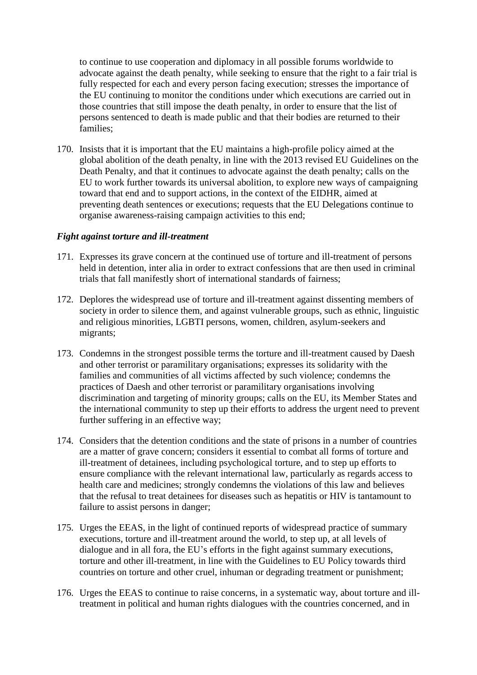to continue to use cooperation and diplomacy in all possible forums worldwide to advocate against the death penalty, while seeking to ensure that the right to a fair trial is fully respected for each and every person facing execution; stresses the importance of the EU continuing to monitor the conditions under which executions are carried out in those countries that still impose the death penalty, in order to ensure that the list of persons sentenced to death is made public and that their bodies are returned to their families;

170. Insists that it is important that the EU maintains a high-profile policy aimed at the global abolition of the death penalty, in line with the 2013 revised EU Guidelines on the Death Penalty, and that it continues to advocate against the death penalty; calls on the EU to work further towards its universal abolition, to explore new ways of campaigning toward that end and to support actions, in the context of the EIDHR, aimed at preventing death sentences or executions; requests that the EU Delegations continue to organise awareness-raising campaign activities to this end;

### *Fight against torture and ill-treatment*

- 171. Expresses its grave concern at the continued use of torture and ill-treatment of persons held in detention, inter alia in order to extract confessions that are then used in criminal trials that fall manifestly short of international standards of fairness;
- 172. Deplores the widespread use of torture and ill-treatment against dissenting members of society in order to silence them, and against vulnerable groups, such as ethnic, linguistic and religious minorities, LGBTI persons, women, children, asylum-seekers and migrants;
- 173. Condemns in the strongest possible terms the torture and ill-treatment caused by Daesh and other terrorist or paramilitary organisations; expresses its solidarity with the families and communities of all victims affected by such violence; condemns the practices of Daesh and other terrorist or paramilitary organisations involving discrimination and targeting of minority groups; calls on the EU, its Member States and the international community to step up their efforts to address the urgent need to prevent further suffering in an effective way;
- 174. Considers that the detention conditions and the state of prisons in a number of countries are a matter of grave concern; considers it essential to combat all forms of torture and ill-treatment of detainees, including psychological torture, and to step up efforts to ensure compliance with the relevant international law, particularly as regards access to health care and medicines; strongly condemns the violations of this law and believes that the refusal to treat detainees for diseases such as hepatitis or HIV is tantamount to failure to assist persons in danger;
- 175. Urges the EEAS, in the light of continued reports of widespread practice of summary executions, torture and ill-treatment around the world, to step up, at all levels of dialogue and in all fora, the EU's efforts in the fight against summary executions, torture and other ill-treatment, in line with the Guidelines to EU Policy towards third countries on torture and other cruel, inhuman or degrading treatment or punishment;
- 176. Urges the EEAS to continue to raise concerns, in a systematic way, about torture and illtreatment in political and human rights dialogues with the countries concerned, and in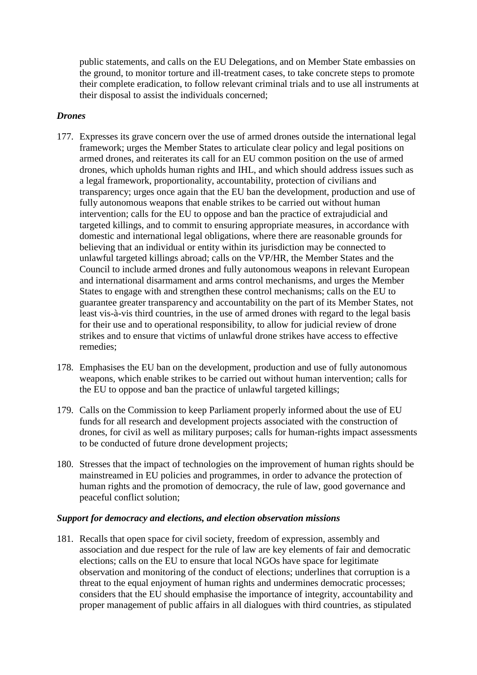public statements, and calls on the EU Delegations, and on Member State embassies on the ground, to monitor torture and ill-treatment cases, to take concrete steps to promote their complete eradication, to follow relevant criminal trials and to use all instruments at their disposal to assist the individuals concerned;

## *Drones*

- 177. Expresses its grave concern over the use of armed drones outside the international legal framework; urges the Member States to articulate clear policy and legal positions on armed drones, and reiterates its call for an EU common position on the use of armed drones, which upholds human rights and IHL, and which should address issues such as a legal framework, proportionality, accountability, protection of civilians and transparency; urges once again that the EU ban the development, production and use of fully autonomous weapons that enable strikes to be carried out without human intervention; calls for the EU to oppose and ban the practice of extrajudicial and targeted killings, and to commit to ensuring appropriate measures, in accordance with domestic and international legal obligations, where there are reasonable grounds for believing that an individual or entity within its jurisdiction may be connected to unlawful targeted killings abroad; calls on the VP/HR, the Member States and the Council to include armed drones and fully autonomous weapons in relevant European and international disarmament and arms control mechanisms, and urges the Member States to engage with and strengthen these control mechanisms; calls on the EU to guarantee greater transparency and accountability on the part of its Member States, not least vis-à-vis third countries, in the use of armed drones with regard to the legal basis for their use and to operational responsibility, to allow for judicial review of drone strikes and to ensure that victims of unlawful drone strikes have access to effective remedies;
- 178. Emphasises the EU ban on the development, production and use of fully autonomous weapons, which enable strikes to be carried out without human intervention; calls for the EU to oppose and ban the practice of unlawful targeted killings;
- 179. Calls on the Commission to keep Parliament properly informed about the use of EU funds for all research and development projects associated with the construction of drones, for civil as well as military purposes; calls for human-rights impact assessments to be conducted of future drone development projects;
- 180. Stresses that the impact of technologies on the improvement of human rights should be mainstreamed in EU policies and programmes, in order to advance the protection of human rights and the promotion of democracy, the rule of law, good governance and peaceful conflict solution;

## *Support for democracy and elections, and election observation missions*

181. Recalls that open space for civil society, freedom of expression, assembly and association and due respect for the rule of law are key elements of fair and democratic elections; calls on the EU to ensure that local NGOs have space for legitimate observation and monitoring of the conduct of elections; underlines that corruption is a threat to the equal enjoyment of human rights and undermines democratic processes; considers that the EU should emphasise the importance of integrity, accountability and proper management of public affairs in all dialogues with third countries, as stipulated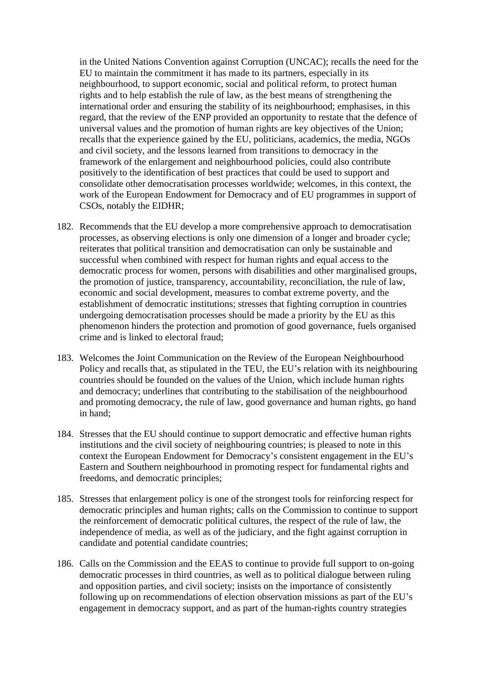in the United Nations Convention against Corruption (UNCAC); recalls the need for the EU to maintain the commitment it has made to its partners, especially in its neighbourhood, to support economic, social and political reform, to protect human rights and to help establish the rule of law, as the best means of strengthening the international order and ensuring the stability of its neighbourhood; emphasises, in this regard, that the review of the ENP provided an opportunity to restate that the defence of universal values and the promotion of human rights are key objectives of the Union; recalls that the experience gained by the EU, politicians, academics, the media, NGOs and civil society, and the lessons learned from transitions to democracy in the framework of the enlargement and neighbourhood policies, could also contribute positively to the identification of best practices that could be used to support and consolidate other democratisation processes worldwide; welcomes, in this context, the work of the European Endowment for Democracy and of EU programmes in support of CSOs, notably the EIDHR;

- 182. Recommends that the EU develop a more comprehensive approach to democratisation processes, as observing elections is only one dimension of a longer and broader cycle; reiterates that political transition and democratisation can only be sustainable and successful when combined with respect for human rights and equal access to the democratic process for women, persons with disabilities and other marginalised groups, the promotion of justice, transparency, accountability, reconciliation, the rule of law, economic and social development, measures to combat extreme poverty, and the establishment of democratic institutions; stresses that fighting corruption in countries undergoing democratisation processes should be made a priority by the EU as this phenomenon hinders the protection and promotion of good governance, fuels organised crime and is linked to electoral fraud;
- 183. Welcomes the Joint Communication on the Review of the European Neighbourhood Policy and recalls that, as stipulated in the TEU, the EU's relation with its neighbouring countries should be founded on the values of the Union, which include human rights and democracy; underlines that contributing to the stabilisation of the neighbourhood and promoting democracy, the rule of law, good governance and human rights, go hand in hand;
- 184. Stresses that the EU should continue to support democratic and effective human rights institutions and the civil society of neighbouring countries; is pleased to note in this context the European Endowment for Democracy's consistent engagement in the EU's Eastern and Southern neighbourhood in promoting respect for fundamental rights and freedoms, and democratic principles;
- 185. Stresses that enlargement policy is one of the strongest tools for reinforcing respect for democratic principles and human rights; calls on the Commission to continue to support the reinforcement of democratic political cultures, the respect of the rule of law, the independence of media, as well as of the judiciary, and the fight against corruption in candidate and potential candidate countries;
- 186. Calls on the Commission and the EEAS to continue to provide full support to on-going democratic processes in third countries, as well as to political dialogue between ruling and opposition parties, and civil society; insists on the importance of consistently following up on recommendations of election observation missions as part of the EU's engagement in democracy support, and as part of the human-rights country strategies